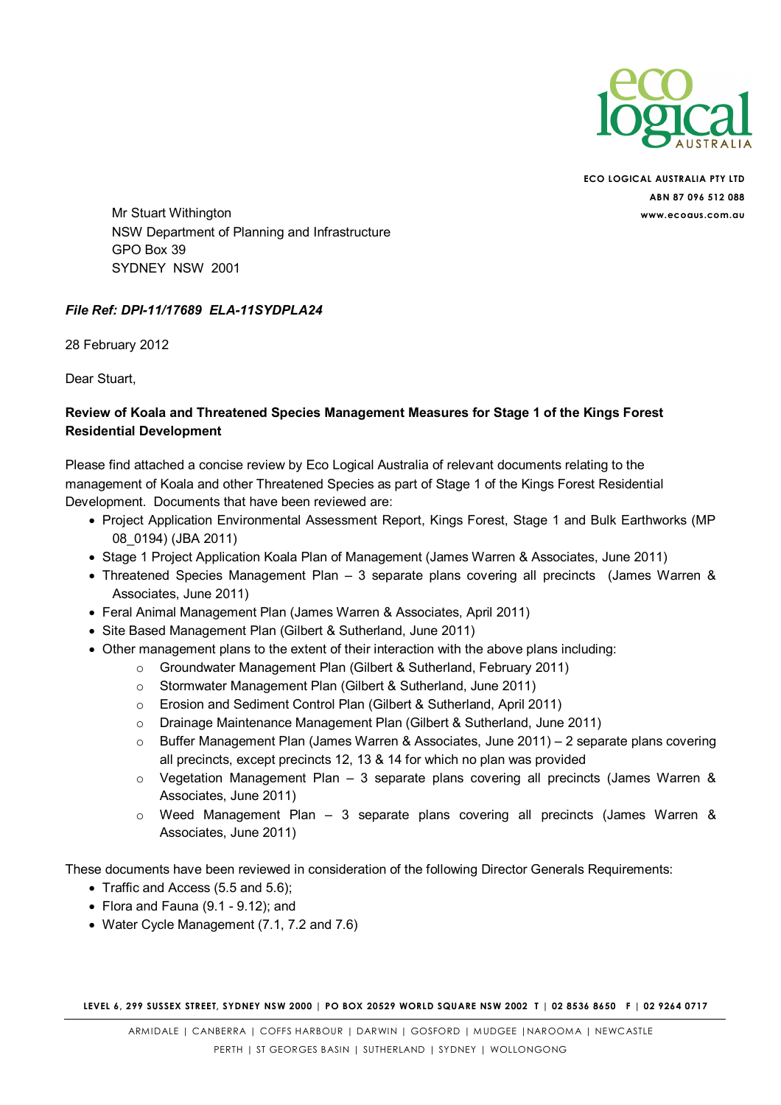

ECO LOGICAL AUSTRALIA PTY LTD ABN 87 096 512 088

Mr Stuart Withington www.ecoaus.com.au NSW Department of Planning and Infrastructure GPO Box 39 SYDNEY NSW 2001

#### File Ref: DPI-11/17689 ELA-11SYDPLA24

28 February 2012

Dear Stuart,

#### Review of Koala and Threatened Species Management Measures for Stage 1 of the Kings Forest Residential Development

Please find attached a concise review by Eco Logical Australia of relevant documents relating to the management of Koala and other Threatened Species as part of Stage 1 of the Kings Forest Residential Development. Documents that have been reviewed are:

- Project Application Environmental Assessment Report, Kings Forest, Stage 1 and Bulk Earthworks (MP 08\_0194) (JBA 2011)
- Stage 1 Project Application Koala Plan of Management (James Warren & Associates, June 2011)
- Threatened Species Management Plan 3 separate plans covering all precincts (James Warren & Associates, June 2011)
- Feral Animal Management Plan (James Warren & Associates, April 2011)
- Site Based Management Plan (Gilbert & Sutherland, June 2011)
- Other management plans to the extent of their interaction with the above plans including:
	- o Groundwater Management Plan (Gilbert & Sutherland, February 2011)
	- o Stormwater Management Plan (Gilbert & Sutherland, June 2011)
	- o Erosion and Sediment Control Plan (Gilbert & Sutherland, April 2011)
	- o Drainage Maintenance Management Plan (Gilbert & Sutherland, June 2011)
	- o Buffer Management Plan (James Warren & Associates, June 2011) 2 separate plans covering all precincts, except precincts 12, 13 & 14 for which no plan was provided
	- o Vegetation Management Plan 3 separate plans covering all precincts (James Warren & Associates, June 2011)
	- o Weed Management Plan 3 separate plans covering all precincts (James Warren & Associates, June 2011)

These documents have been reviewed in consideration of the following Director Generals Requirements:

- Traffic and Access (5.5 and 5.6);
- Flora and Fauna (9.1 9.12); and
- Water Cycle Management (7.1, 7.2 and 7.6)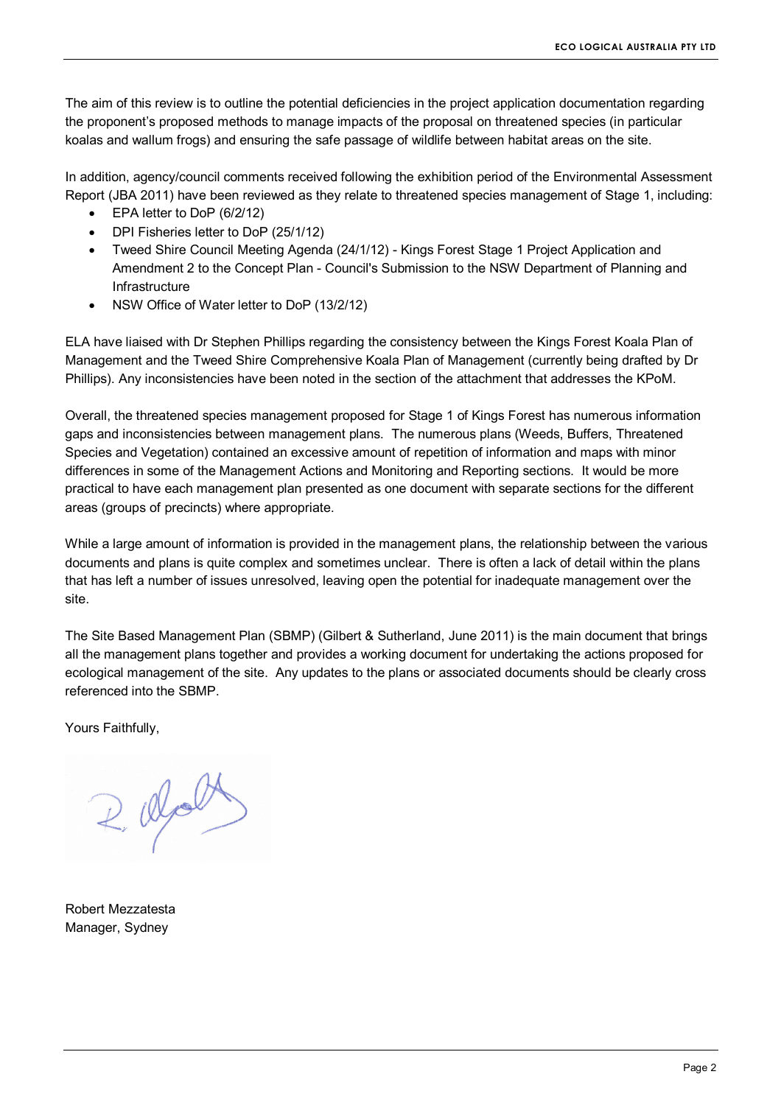The aim of this review is to outline the potential deficiencies in the project application documentation regarding the proponent's proposed methods to manage impacts of the proposal on threatened species (in particular koalas and wallum frogs) and ensuring the safe passage of wildlife between habitat areas on the site.

In addition, agency/council comments received following the exhibition period of the Environmental Assessment Report (JBA 2011) have been reviewed as they relate to threatened species management of Stage 1, including:

- EPA letter to DoP (6/2/12)
- DPI Fisheries letter to DoP (25/1/12)
- Tweed Shire Council Meeting Agenda (24/1/12) Kings Forest Stage 1 Project Application and Amendment 2 to the Concept Plan - Council's Submission to the NSW Department of Planning and **Infrastructure**
- NSW Office of Water letter to DoP (13/2/12)

ELA have liaised with Dr Stephen Phillips regarding the consistency between the Kings Forest Koala Plan of Management and the Tweed Shire Comprehensive Koala Plan of Management (currently being drafted by Dr Phillips). Any inconsistencies have been noted in the section of the attachment that addresses the KPoM.

Overall, the threatened species management proposed for Stage 1 of Kings Forest has numerous information gaps and inconsistencies between management plans. The numerous plans (Weeds, Buffers, Threatened Species and Vegetation) contained an excessive amount of repetition of information and maps with minor differences in some of the Management Actions and Monitoring and Reporting sections. It would be more practical to have each management plan presented as one document with separate sections for the different areas (groups of precincts) where appropriate.

While a large amount of information is provided in the management plans, the relationship between the various documents and plans is quite complex and sometimes unclear. There is often a lack of detail within the plans that has left a number of issues unresolved, leaving open the potential for inadequate management over the site.

The Site Based Management Plan (SBMP) (Gilbert & Sutherland, June 2011) is the main document that brings all the management plans together and provides a working document for undertaking the actions proposed for ecological management of the site. Any updates to the plans or associated documents should be clearly cross referenced into the SBMP.

Yours Faithfully,

 $200$ 

Robert Mezzatesta Manager, Sydney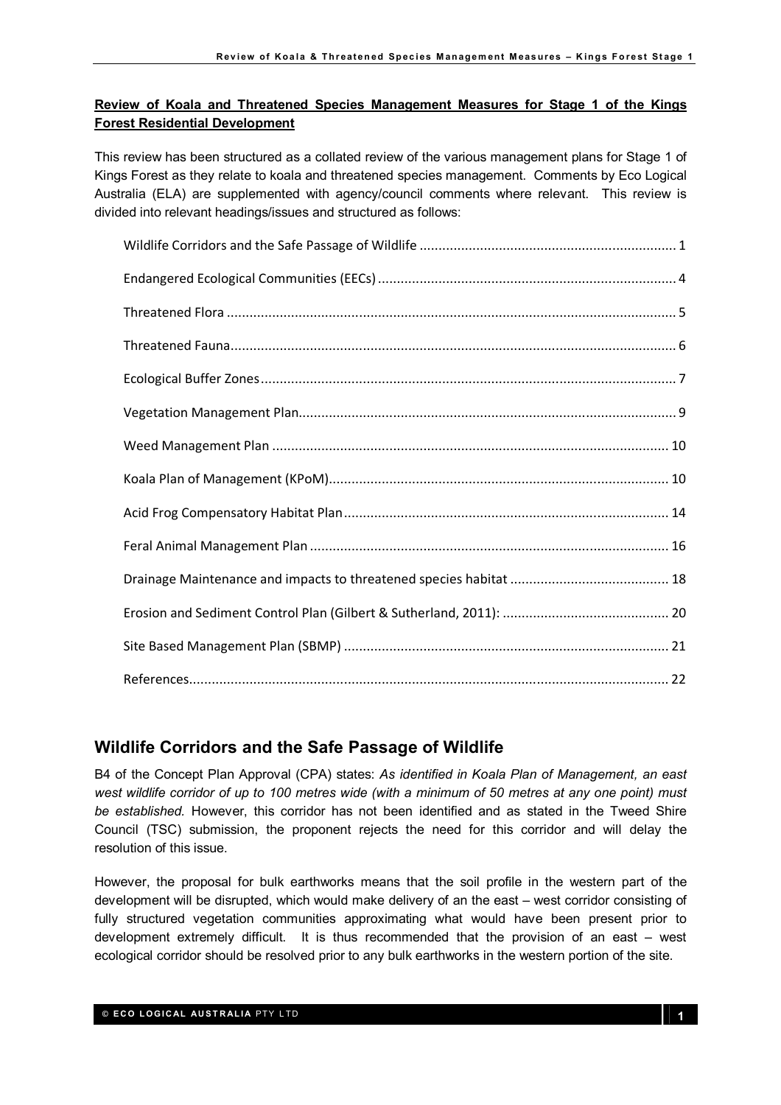#### Review of Koala and Threatened Species Management Measures for Stage 1 of the Kings Forest Residential Development

This review has been structured as a collated review of the various management plans for Stage 1 of Kings Forest as they relate to koala and threatened species management. Comments by Eco Logical Australia (ELA) are supplemented with agency/council comments where relevant. This review is divided into relevant headings/issues and structured as follows:

# Wildlife Corridors and the Safe Passage of Wildlife

B4 of the Concept Plan Approval (CPA) states: As identified in Koala Plan of Management, an east west wildlife corridor of up to 100 metres wide (with a minimum of 50 metres at any one point) must be established. However, this corridor has not been identified and as stated in the Tweed Shire Council (TSC) submission, the proponent rejects the need for this corridor and will delay the resolution of this issue.

However, the proposal for bulk earthworks means that the soil profile in the western part of the development will be disrupted, which would make delivery of an the east – west corridor consisting of fully structured vegetation communities approximating what would have been present prior to development extremely difficult. It is thus recommended that the provision of an east – west ecological corridor should be resolved prior to any bulk earthworks in the western portion of the site.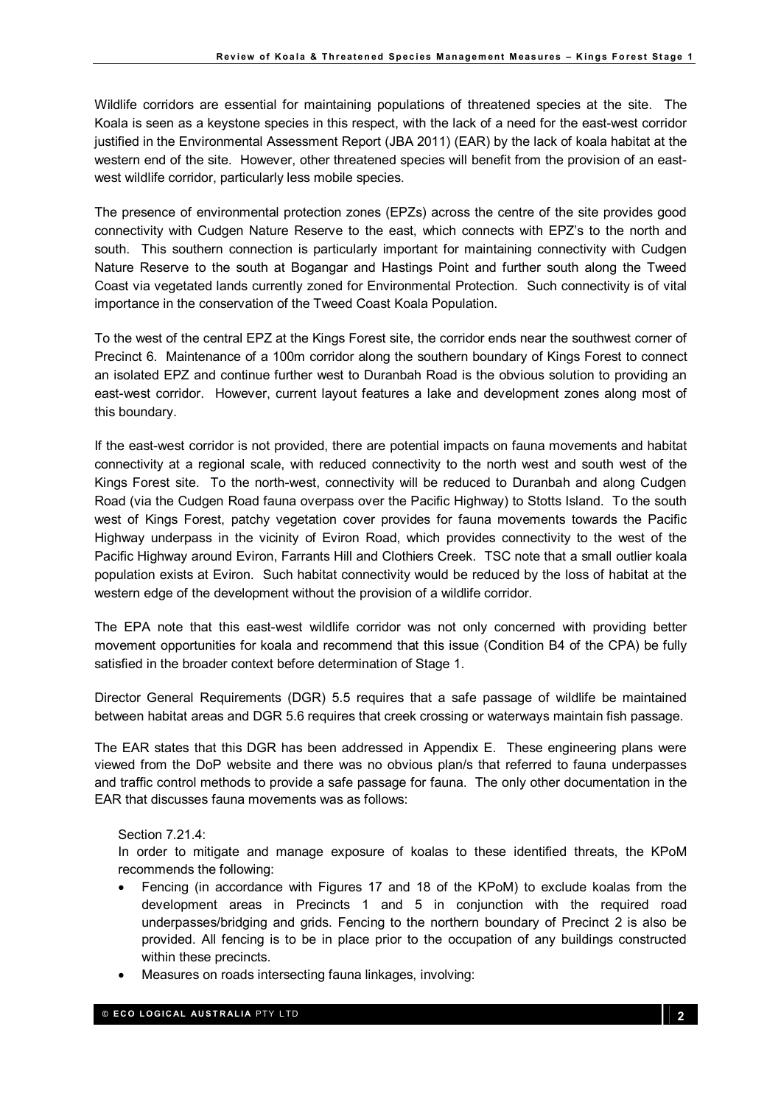Wildlife corridors are essential for maintaining populations of threatened species at the site. The Koala is seen as a keystone species in this respect, with the lack of a need for the east-west corridor justified in the Environmental Assessment Report (JBA 2011) (EAR) by the lack of koala habitat at the western end of the site. However, other threatened species will benefit from the provision of an eastwest wildlife corridor, particularly less mobile species.

The presence of environmental protection zones (EPZs) across the centre of the site provides good connectivity with Cudgen Nature Reserve to the east, which connects with EPZ's to the north and south. This southern connection is particularly important for maintaining connectivity with Cudgen Nature Reserve to the south at Bogangar and Hastings Point and further south along the Tweed Coast via vegetated lands currently zoned for Environmental Protection. Such connectivity is of vital importance in the conservation of the Tweed Coast Koala Population.

To the west of the central EPZ at the Kings Forest site, the corridor ends near the southwest corner of Precinct 6. Maintenance of a 100m corridor along the southern boundary of Kings Forest to connect an isolated EPZ and continue further west to Duranbah Road is the obvious solution to providing an east-west corridor. However, current layout features a lake and development zones along most of this boundary.

If the east-west corridor is not provided, there are potential impacts on fauna movements and habitat connectivity at a regional scale, with reduced connectivity to the north west and south west of the Kings Forest site. To the north-west, connectivity will be reduced to Duranbah and along Cudgen Road (via the Cudgen Road fauna overpass over the Pacific Highway) to Stotts Island. To the south west of Kings Forest, patchy vegetation cover provides for fauna movements towards the Pacific Highway underpass in the vicinity of Eviron Road, which provides connectivity to the west of the Pacific Highway around Eviron, Farrants Hill and Clothiers Creek. TSC note that a small outlier koala population exists at Eviron. Such habitat connectivity would be reduced by the loss of habitat at the western edge of the development without the provision of a wildlife corridor.

The EPA note that this east-west wildlife corridor was not only concerned with providing better movement opportunities for koala and recommend that this issue (Condition B4 of the CPA) be fully satisfied in the broader context before determination of Stage 1.

Director General Requirements (DGR) 5.5 requires that a safe passage of wildlife be maintained between habitat areas and DGR 5.6 requires that creek crossing or waterways maintain fish passage.

The EAR states that this DGR has been addressed in Appendix E. These engineering plans were viewed from the DoP website and there was no obvious plan/s that referred to fauna underpasses and traffic control methods to provide a safe passage for fauna. The only other documentation in the EAR that discusses fauna movements was as follows:

#### Section 7.21.4:

In order to mitigate and manage exposure of koalas to these identified threats, the KPoM recommends the following:

- Fencing (in accordance with Figures 17 and 18 of the KPoM) to exclude koalas from the development areas in Precincts 1 and 5 in conjunction with the required road underpasses/bridging and grids. Fencing to the northern boundary of Precinct 2 is also be provided. All fencing is to be in place prior to the occupation of any buildings constructed within these precincts.
- Measures on roads intersecting fauna linkages, involving: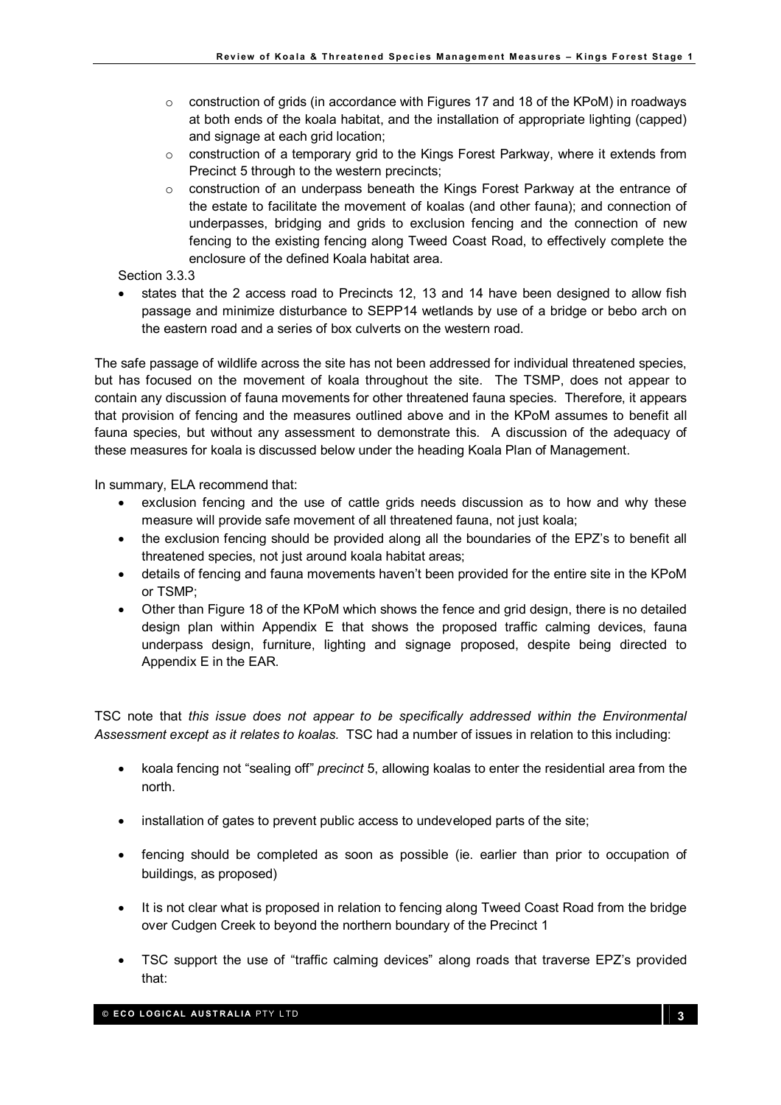- $\circ$  construction of grids (in accordance with Figures 17 and 18 of the KPoM) in roadways at both ends of the koala habitat, and the installation of appropriate lighting (capped) and signage at each grid location;
- $\circ$  construction of a temporary grid to the Kings Forest Parkway, where it extends from Precinct 5 through to the western precincts;
- $\circ$  construction of an underpass beneath the Kings Forest Parkway at the entrance of the estate to facilitate the movement of koalas (and other fauna); and connection of underpasses, bridging and grids to exclusion fencing and the connection of new fencing to the existing fencing along Tweed Coast Road, to effectively complete the enclosure of the defined Koala habitat area.
- Section 3.3.3
- states that the 2 access road to Precincts 12, 13 and 14 have been designed to allow fish passage and minimize disturbance to SEPP14 wetlands by use of a bridge or bebo arch on the eastern road and a series of box culverts on the western road.

The safe passage of wildlife across the site has not been addressed for individual threatened species, but has focused on the movement of koala throughout the site. The TSMP, does not appear to contain any discussion of fauna movements for other threatened fauna species. Therefore, it appears that provision of fencing and the measures outlined above and in the KPoM assumes to benefit all fauna species, but without any assessment to demonstrate this. A discussion of the adequacy of these measures for koala is discussed below under the heading Koala Plan of Management.

In summary, ELA recommend that:

- exclusion fencing and the use of cattle grids needs discussion as to how and why these measure will provide safe movement of all threatened fauna, not just koala;
- the exclusion fencing should be provided along all the boundaries of the EPZ's to benefit all threatened species, not just around koala habitat areas;
- details of fencing and fauna movements haven't been provided for the entire site in the KPoM or TSMP;
- Other than Figure 18 of the KPoM which shows the fence and grid design, there is no detailed design plan within Appendix E that shows the proposed traffic calming devices, fauna underpass design, furniture, lighting and signage proposed, despite being directed to Appendix E in the EAR.

TSC note that this issue does not appear to be specifically addressed within the Environmental Assessment except as it relates to koalas. TSC had a number of issues in relation to this including:

- koala fencing not "sealing off" precinct 5, allowing koalas to enter the residential area from the north.
- installation of gates to prevent public access to undeveloped parts of the site;
- fencing should be completed as soon as possible (ie. earlier than prior to occupation of buildings, as proposed)
- It is not clear what is proposed in relation to fencing along Tweed Coast Road from the bridge over Cudgen Creek to beyond the northern boundary of the Precinct 1
- TSC support the use of "traffic calming devices" along roads that traverse EPZ's provided that: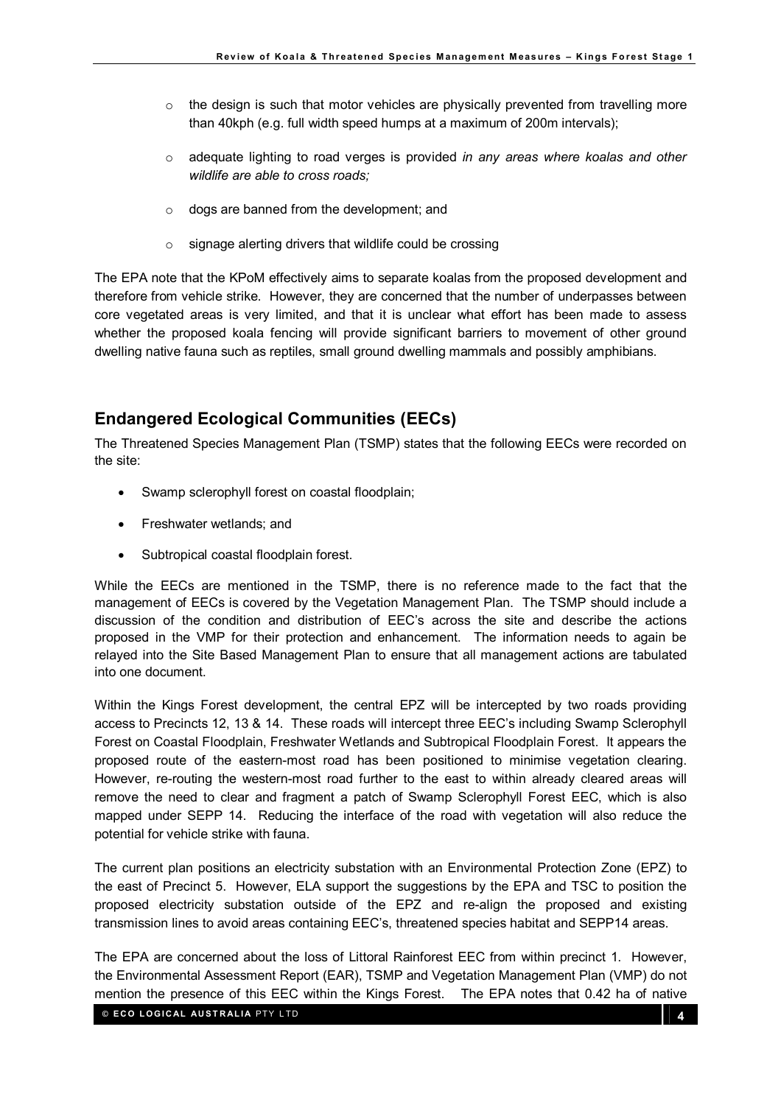- $\circ$  the design is such that motor vehicles are physically prevented from travelling more than 40kph (e.g. full width speed humps at a maximum of 200m intervals);
- $\circ$  adequate lighting to road verges is provided in any areas where koalas and other wildlife are able to cross roads;
- o dogs are banned from the development; and
- o signage alerting drivers that wildlife could be crossing

The EPA note that the KPoM effectively aims to separate koalas from the proposed development and therefore from vehicle strike. However, they are concerned that the number of underpasses between core vegetated areas is very limited, and that it is unclear what effort has been made to assess whether the proposed koala fencing will provide significant barriers to movement of other ground dwelling native fauna such as reptiles, small ground dwelling mammals and possibly amphibians.

# Endangered Ecological Communities (EECs)

The Threatened Species Management Plan (TSMP) states that the following EECs were recorded on the site:

- Swamp sclerophyll forest on coastal floodplain;
- Freshwater wetlands; and
- Subtropical coastal floodplain forest.

While the EECs are mentioned in the TSMP, there is no reference made to the fact that the management of EECs is covered by the Vegetation Management Plan. The TSMP should include a discussion of the condition and distribution of EEC's across the site and describe the actions proposed in the VMP for their protection and enhancement. The information needs to again be relayed into the Site Based Management Plan to ensure that all management actions are tabulated into one document.

Within the Kings Forest development, the central EPZ will be intercepted by two roads providing access to Precincts 12, 13 & 14. These roads will intercept three EEC's including Swamp Sclerophyll Forest on Coastal Floodplain, Freshwater Wetlands and Subtropical Floodplain Forest. It appears the proposed route of the eastern-most road has been positioned to minimise vegetation clearing. However, re-routing the western-most road further to the east to within already cleared areas will remove the need to clear and fragment a patch of Swamp Sclerophyll Forest EEC, which is also mapped under SEPP 14. Reducing the interface of the road with vegetation will also reduce the potential for vehicle strike with fauna.

The current plan positions an electricity substation with an Environmental Protection Zone (EPZ) to the east of Precinct 5. However, ELA support the suggestions by the EPA and TSC to position the proposed electricity substation outside of the EPZ and re-align the proposed and existing transmission lines to avoid areas containing EEC's, threatened species habitat and SEPP14 areas.

The EPA are concerned about the loss of Littoral Rainforest EEC from within precinct 1. However, the Environmental Assessment Report (EAR), TSMP and Vegetation Management Plan (VMP) do not mention the presence of this EEC within the Kings Forest. The EPA notes that 0.42 ha of native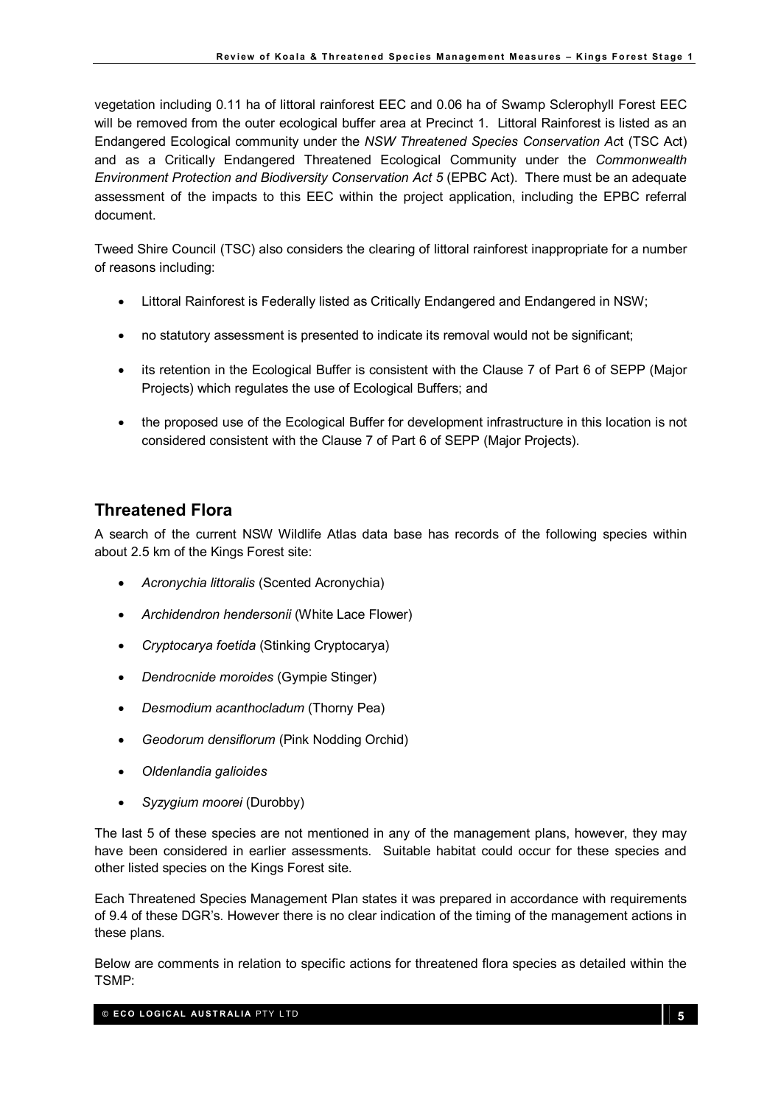vegetation including 0.11 ha of littoral rainforest EEC and 0.06 ha of Swamp Sclerophyll Forest EEC will be removed from the outer ecological buffer area at Precinct 1. Littoral Rainforest is listed as an Endangered Ecological community under the NSW Threatened Species Conservation Act (TSC Act) and as a Critically Endangered Threatened Ecological Community under the Commonwealth Environment Protection and Biodiversity Conservation Act 5 (EPBC Act). There must be an adequate assessment of the impacts to this EEC within the project application, including the EPBC referral document.

Tweed Shire Council (TSC) also considers the clearing of littoral rainforest inappropriate for a number of reasons including:

- Littoral Rainforest is Federally listed as Critically Endangered and Endangered in NSW;
- no statutory assessment is presented to indicate its removal would not be significant;
- its retention in the Ecological Buffer is consistent with the Clause 7 of Part 6 of SEPP (Major Projects) which regulates the use of Ecological Buffers; and
- the proposed use of the Ecological Buffer for development infrastructure in this location is not considered consistent with the Clause 7 of Part 6 of SEPP (Major Projects).

# Threatened Flora

A search of the current NSW Wildlife Atlas data base has records of the following species within about 2.5 km of the Kings Forest site:

- Acronychia littoralis (Scented Acronychia)
- Archidendron hendersonii (White Lace Flower)
- Cryptocarya foetida (Stinking Cryptocarya)
- Dendrocnide moroides (Gympie Stinger)
- Desmodium acanthocladum (Thorny Pea)
- Geodorum densiflorum (Pink Nodding Orchid)
- Oldenlandia galioides
- Syzygium moorei (Durobby)

The last 5 of these species are not mentioned in any of the management plans, however, they may have been considered in earlier assessments. Suitable habitat could occur for these species and other listed species on the Kings Forest site.

Each Threatened Species Management Plan states it was prepared in accordance with requirements of 9.4 of these DGR's. However there is no clear indication of the timing of the management actions in these plans.

Below are comments in relation to specific actions for threatened flora species as detailed within the TSMP: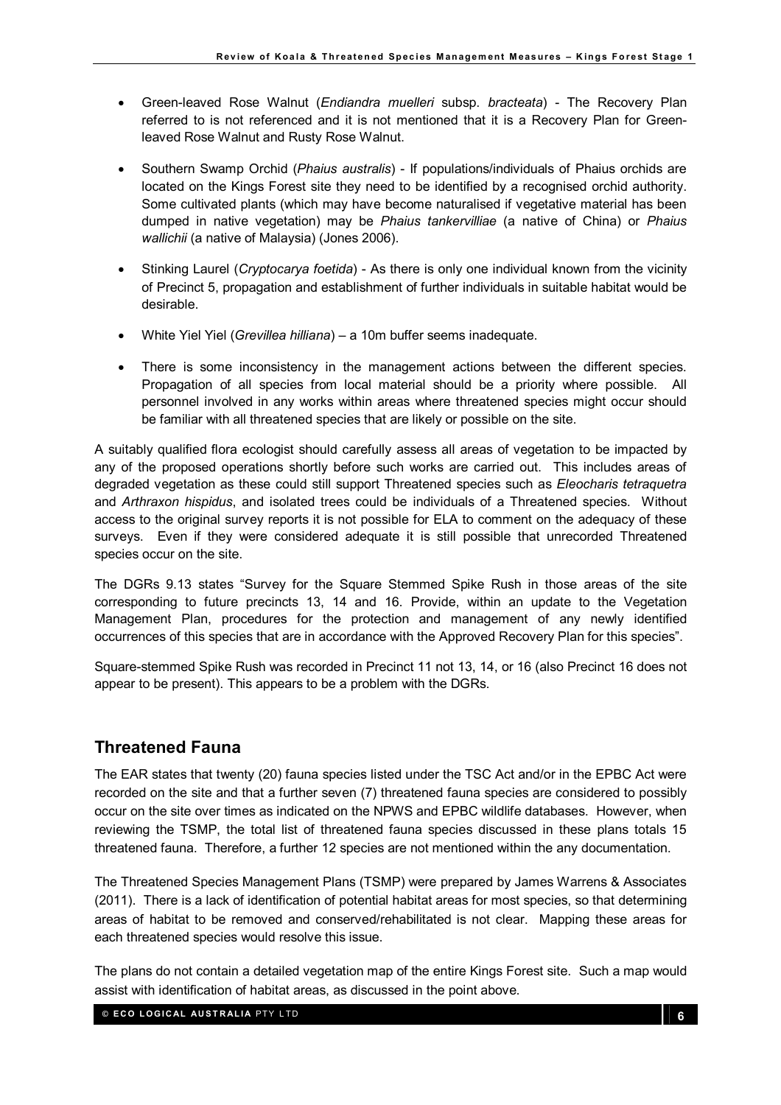- Green-leaved Rose Walnut (*Endiandra muelleri* subsp. *bracteata*) The Recovery Plan referred to is not referenced and it is not mentioned that it is a Recovery Plan for Greenleaved Rose Walnut and Rusty Rose Walnut.
- Southern Swamp Orchid (Phaius australis) If populations/individuals of Phaius orchids are located on the Kings Forest site they need to be identified by a recognised orchid authority. Some cultivated plants (which may have become naturalised if vegetative material has been dumped in native vegetation) may be Phaius tankervilliae (a native of China) or Phaius wallichii (a native of Malaysia) (Jones 2006).
- Stinking Laurel (Cryptocarya foetida) As there is only one individual known from the vicinity of Precinct 5, propagation and establishment of further individuals in suitable habitat would be desirable.
- White Yiel Yiel (Grevillea hilliana) a 10m buffer seems inadequate.
- There is some inconsistency in the management actions between the different species. Propagation of all species from local material should be a priority where possible. All personnel involved in any works within areas where threatened species might occur should be familiar with all threatened species that are likely or possible on the site.

A suitably qualified flora ecologist should carefully assess all areas of vegetation to be impacted by any of the proposed operations shortly before such works are carried out. This includes areas of degraded vegetation as these could still support Threatened species such as Eleocharis tetraquetra and Arthraxon hispidus, and isolated trees could be individuals of a Threatened species. Without access to the original survey reports it is not possible for ELA to comment on the adequacy of these surveys. Even if they were considered adequate it is still possible that unrecorded Threatened species occur on the site.

The DGRs 9.13 states "Survey for the Square Stemmed Spike Rush in those areas of the site corresponding to future precincts 13, 14 and 16. Provide, within an update to the Vegetation Management Plan, procedures for the protection and management of any newly identified occurrences of this species that are in accordance with the Approved Recovery Plan for this species".

Square-stemmed Spike Rush was recorded in Precinct 11 not 13, 14, or 16 (also Precinct 16 does not appear to be present). This appears to be a problem with the DGRs.

# Threatened Fauna

The EAR states that twenty (20) fauna species listed under the TSC Act and/or in the EPBC Act were recorded on the site and that a further seven (7) threatened fauna species are considered to possibly occur on the site over times as indicated on the NPWS and EPBC wildlife databases. However, when reviewing the TSMP, the total list of threatened fauna species discussed in these plans totals 15 threatened fauna. Therefore, a further 12 species are not mentioned within the any documentation.

The Threatened Species Management Plans (TSMP) were prepared by James Warrens & Associates (2011). There is a lack of identification of potential habitat areas for most species, so that determining areas of habitat to be removed and conserved/rehabilitated is not clear. Mapping these areas for each threatened species would resolve this issue.

The plans do not contain a detailed vegetation map of the entire Kings Forest site. Such a map would assist with identification of habitat areas, as discussed in the point above.

© ECO LOGICAL AUSTRALIA PTY LTD 6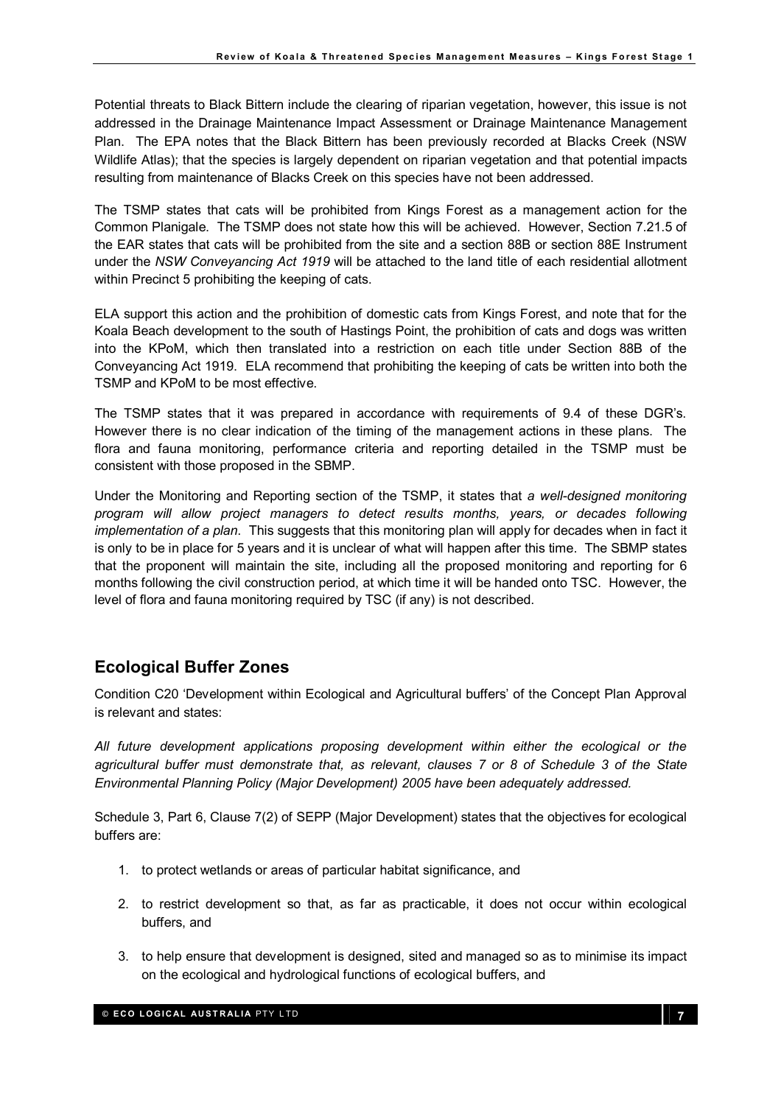Potential threats to Black Bittern include the clearing of riparian vegetation, however, this issue is not addressed in the Drainage Maintenance Impact Assessment or Drainage Maintenance Management Plan. The EPA notes that the Black Bittern has been previously recorded at Blacks Creek (NSW Wildlife Atlas); that the species is largely dependent on riparian vegetation and that potential impacts resulting from maintenance of Blacks Creek on this species have not been addressed.

The TSMP states that cats will be prohibited from Kings Forest as a management action for the Common Planigale. The TSMP does not state how this will be achieved. However, Section 7.21.5 of the EAR states that cats will be prohibited from the site and a section 88B or section 88E Instrument under the NSW Conveyancing Act 1919 will be attached to the land title of each residential allotment within Precinct 5 prohibiting the keeping of cats.

ELA support this action and the prohibition of domestic cats from Kings Forest, and note that for the Koala Beach development to the south of Hastings Point, the prohibition of cats and dogs was written into the KPoM, which then translated into a restriction on each title under Section 88B of the Conveyancing Act 1919. ELA recommend that prohibiting the keeping of cats be written into both the TSMP and KPoM to be most effective.

The TSMP states that it was prepared in accordance with requirements of 9.4 of these DGR's. However there is no clear indication of the timing of the management actions in these plans. The flora and fauna monitoring, performance criteria and reporting detailed in the TSMP must be consistent with those proposed in the SBMP.

Under the Monitoring and Reporting section of the TSMP, it states that a well-designed monitoring program will allow project managers to detect results months, years, or decades following implementation of a plan. This suggests that this monitoring plan will apply for decades when in fact it is only to be in place for 5 years and it is unclear of what will happen after this time. The SBMP states that the proponent will maintain the site, including all the proposed monitoring and reporting for 6 months following the civil construction period, at which time it will be handed onto TSC. However, the level of flora and fauna monitoring required by TSC (if any) is not described.

# Ecological Buffer Zones

Condition C20 'Development within Ecological and Agricultural buffers' of the Concept Plan Approval is relevant and states:

All future development applications proposing development within either the ecological or the agricultural buffer must demonstrate that, as relevant, clauses 7 or 8 of Schedule 3 of the State Environmental Planning Policy (Major Development) 2005 have been adequately addressed.

Schedule 3, Part 6, Clause 7(2) of SEPP (Major Development) states that the objectives for ecological buffers are:

- 1. to protect wetlands or areas of particular habitat significance, and
- 2. to restrict development so that, as far as practicable, it does not occur within ecological buffers, and
- 3. to help ensure that development is designed, sited and managed so as to minimise its impact on the ecological and hydrological functions of ecological buffers, and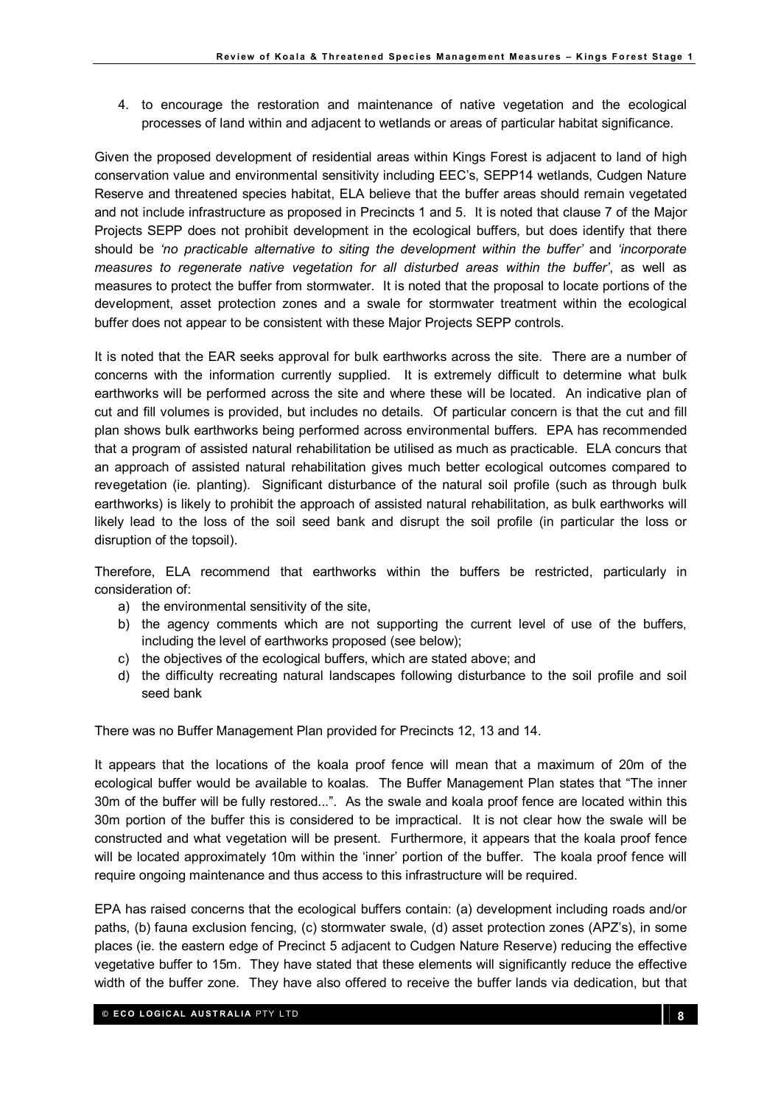4. to encourage the restoration and maintenance of native vegetation and the ecological processes of land within and adjacent to wetlands or areas of particular habitat significance.

Given the proposed development of residential areas within Kings Forest is adjacent to land of high conservation value and environmental sensitivity including EEC's, SEPP14 wetlands, Cudgen Nature Reserve and threatened species habitat, ELA believe that the buffer areas should remain vegetated and not include infrastructure as proposed in Precincts 1 and 5. It is noted that clause 7 of the Major Projects SEPP does not prohibit development in the ecological buffers, but does identify that there should be 'no practicable alternative to siting the development within the buffer' and 'incorporate measures to regenerate native vegetation for all disturbed areas within the buffer', as well as measures to protect the buffer from stormwater. It is noted that the proposal to locate portions of the development, asset protection zones and a swale for stormwater treatment within the ecological buffer does not appear to be consistent with these Major Projects SEPP controls.

It is noted that the EAR seeks approval for bulk earthworks across the site. There are a number of concerns with the information currently supplied. It is extremely difficult to determine what bulk earthworks will be performed across the site and where these will be located. An indicative plan of cut and fill volumes is provided, but includes no details. Of particular concern is that the cut and fill plan shows bulk earthworks being performed across environmental buffers. EPA has recommended that a program of assisted natural rehabilitation be utilised as much as practicable. ELA concurs that an approach of assisted natural rehabilitation gives much better ecological outcomes compared to revegetation (ie. planting). Significant disturbance of the natural soil profile (such as through bulk earthworks) is likely to prohibit the approach of assisted natural rehabilitation, as bulk earthworks will likely lead to the loss of the soil seed bank and disrupt the soil profile (in particular the loss or disruption of the topsoil).

Therefore, ELA recommend that earthworks within the buffers be restricted, particularly in consideration of:

- a) the environmental sensitivity of the site,
- b) the agency comments which are not supporting the current level of use of the buffers, including the level of earthworks proposed (see below);
- c) the objectives of the ecological buffers, which are stated above; and
- d) the difficulty recreating natural landscapes following disturbance to the soil profile and soil seed bank

There was no Buffer Management Plan provided for Precincts 12, 13 and 14.

It appears that the locations of the koala proof fence will mean that a maximum of 20m of the ecological buffer would be available to koalas. The Buffer Management Plan states that "The inner 30m of the buffer will be fully restored...". As the swale and koala proof fence are located within this 30m portion of the buffer this is considered to be impractical. It is not clear how the swale will be constructed and what vegetation will be present. Furthermore, it appears that the koala proof fence will be located approximately 10m within the 'inner' portion of the buffer. The koala proof fence will require ongoing maintenance and thus access to this infrastructure will be required.

EPA has raised concerns that the ecological buffers contain: (a) development including roads and/or paths, (b) fauna exclusion fencing, (c) stormwater swale, (d) asset protection zones (APZ's), in some places (ie. the eastern edge of Precinct 5 adjacent to Cudgen Nature Reserve) reducing the effective vegetative buffer to 15m. They have stated that these elements will significantly reduce the effective width of the buffer zone. They have also offered to receive the buffer lands via dedication, but that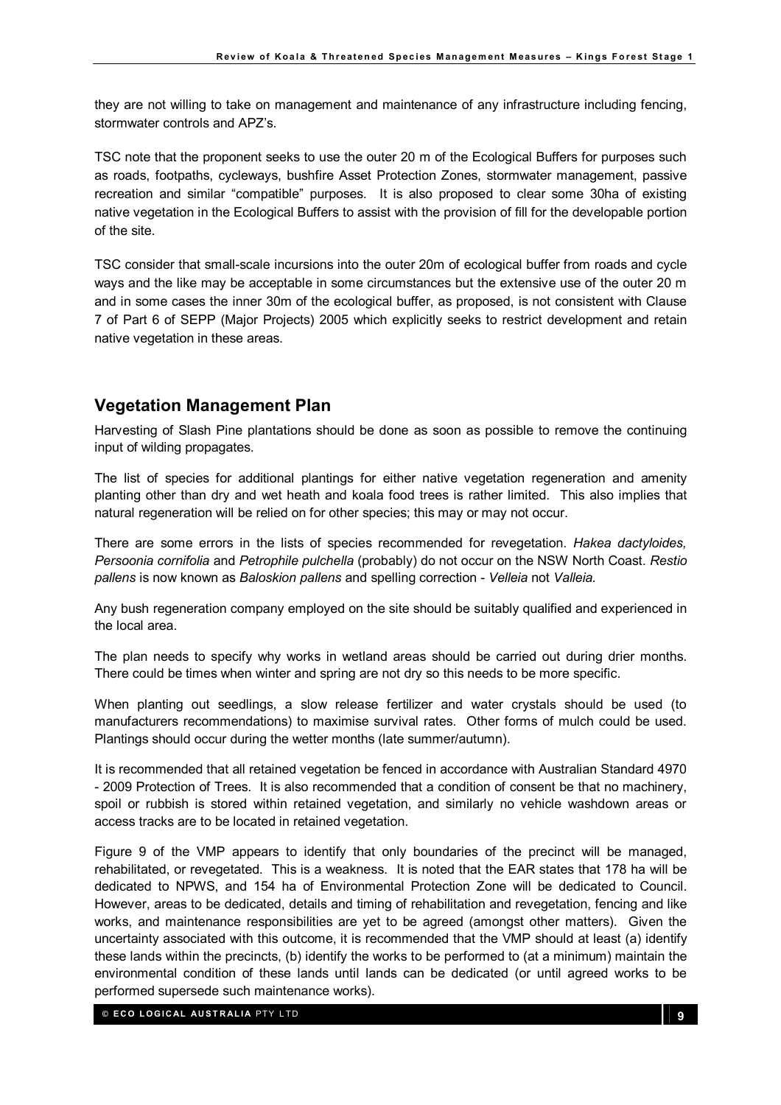they are not willing to take on management and maintenance of any infrastructure including fencing, stormwater controls and APZ's.

TSC note that the proponent seeks to use the outer 20 m of the Ecological Buffers for purposes such as roads, footpaths, cycleways, bushfire Asset Protection Zones, stormwater management, passive recreation and similar "compatible" purposes. It is also proposed to clear some 30ha of existing native vegetation in the Ecological Buffers to assist with the provision of fill for the developable portion of the site.

TSC consider that small-scale incursions into the outer 20m of ecological buffer from roads and cycle ways and the like may be acceptable in some circumstances but the extensive use of the outer 20 m and in some cases the inner 30m of the ecological buffer, as proposed, is not consistent with Clause 7 of Part 6 of SEPP (Major Projects) 2005 which explicitly seeks to restrict development and retain native vegetation in these areas.

### Vegetation Management Plan

Harvesting of Slash Pine plantations should be done as soon as possible to remove the continuing input of wilding propagates.

The list of species for additional plantings for either native vegetation regeneration and amenity planting other than dry and wet heath and koala food trees is rather limited. This also implies that natural regeneration will be relied on for other species; this may or may not occur.

There are some errors in the lists of species recommended for revegetation. Hakea dactyloides, Persoonia cornifolia and Petrophile pulchella (probably) do not occur on the NSW North Coast. Restio pallens is now known as Baloskion pallens and spelling correction - Velleia not Valleia.

Any bush regeneration company employed on the site should be suitably qualified and experienced in the local area.

The plan needs to specify why works in wetland areas should be carried out during drier months. There could be times when winter and spring are not dry so this needs to be more specific.

When planting out seedlings, a slow release fertilizer and water crystals should be used (to manufacturers recommendations) to maximise survival rates. Other forms of mulch could be used. Plantings should occur during the wetter months (late summer/autumn).

It is recommended that all retained vegetation be fenced in accordance with Australian Standard 4970 - 2009 Protection of Trees. It is also recommended that a condition of consent be that no machinery, spoil or rubbish is stored within retained vegetation, and similarly no vehicle washdown areas or access tracks are to be located in retained vegetation.

Figure 9 of the VMP appears to identify that only boundaries of the precinct will be managed, rehabilitated, or revegetated. This is a weakness. It is noted that the EAR states that 178 ha will be dedicated to NPWS, and 154 ha of Environmental Protection Zone will be dedicated to Council. However, areas to be dedicated, details and timing of rehabilitation and revegetation, fencing and like works, and maintenance responsibilities are yet to be agreed (amongst other matters). Given the uncertainty associated with this outcome, it is recommended that the VMP should at least (a) identify these lands within the precincts, (b) identify the works to be performed to (at a minimum) maintain the environmental condition of these lands until lands can be dedicated (or until agreed works to be performed supersede such maintenance works).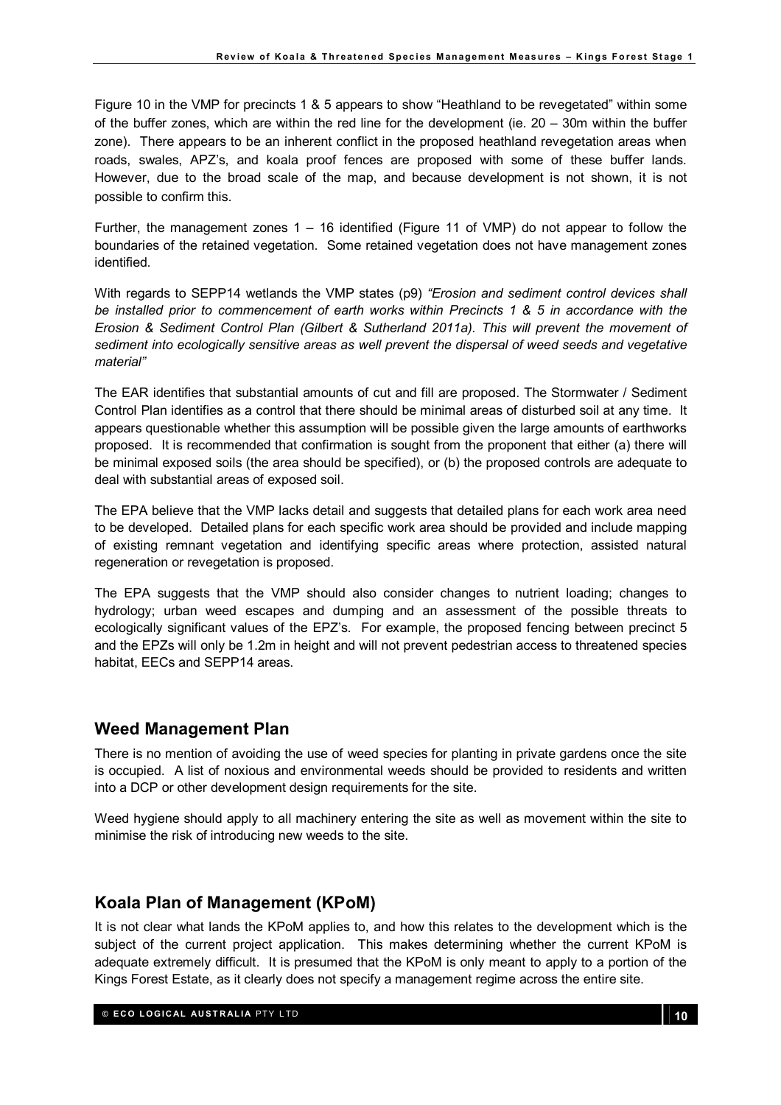Figure 10 in the VMP for precincts 1 & 5 appears to show "Heathland to be revegetated" within some of the buffer zones, which are within the red line for the development (ie. 20 – 30m within the buffer zone). There appears to be an inherent conflict in the proposed heathland revegetation areas when roads, swales, APZ's, and koala proof fences are proposed with some of these buffer lands. However, due to the broad scale of the map, and because development is not shown, it is not possible to confirm this.

Further, the management zones 1 – 16 identified (Figure 11 of VMP) do not appear to follow the boundaries of the retained vegetation. Some retained vegetation does not have management zones identified.

With regards to SEPP14 wetlands the VMP states (p9) "Erosion and sediment control devices shall be installed prior to commencement of earth works within Precincts 1 & 5 in accordance with the Erosion & Sediment Control Plan (Gilbert & Sutherland 2011a). This will prevent the movement of sediment into ecologically sensitive areas as well prevent the dispersal of weed seeds and vegetative material"

The EAR identifies that substantial amounts of cut and fill are proposed. The Stormwater / Sediment Control Plan identifies as a control that there should be minimal areas of disturbed soil at any time. It appears questionable whether this assumption will be possible given the large amounts of earthworks proposed. It is recommended that confirmation is sought from the proponent that either (a) there will be minimal exposed soils (the area should be specified), or (b) the proposed controls are adequate to deal with substantial areas of exposed soil.

The EPA believe that the VMP lacks detail and suggests that detailed plans for each work area need to be developed. Detailed plans for each specific work area should be provided and include mapping of existing remnant vegetation and identifying specific areas where protection, assisted natural regeneration or revegetation is proposed.

The EPA suggests that the VMP should also consider changes to nutrient loading; changes to hydrology; urban weed escapes and dumping and an assessment of the possible threats to ecologically significant values of the EPZ's. For example, the proposed fencing between precinct 5 and the EPZs will only be 1.2m in height and will not prevent pedestrian access to threatened species habitat, EECs and SEPP14 areas.

### Weed Management Plan

There is no mention of avoiding the use of weed species for planting in private gardens once the site is occupied. A list of noxious and environmental weeds should be provided to residents and written into a DCP or other development design requirements for the site.

Weed hygiene should apply to all machinery entering the site as well as movement within the site to minimise the risk of introducing new weeds to the site.

### Koala Plan of Management (KPoM)

It is not clear what lands the KPoM applies to, and how this relates to the development which is the subject of the current project application. This makes determining whether the current KPoM is adequate extremely difficult. It is presumed that the KPoM is only meant to apply to a portion of the Kings Forest Estate, as it clearly does not specify a management regime across the entire site.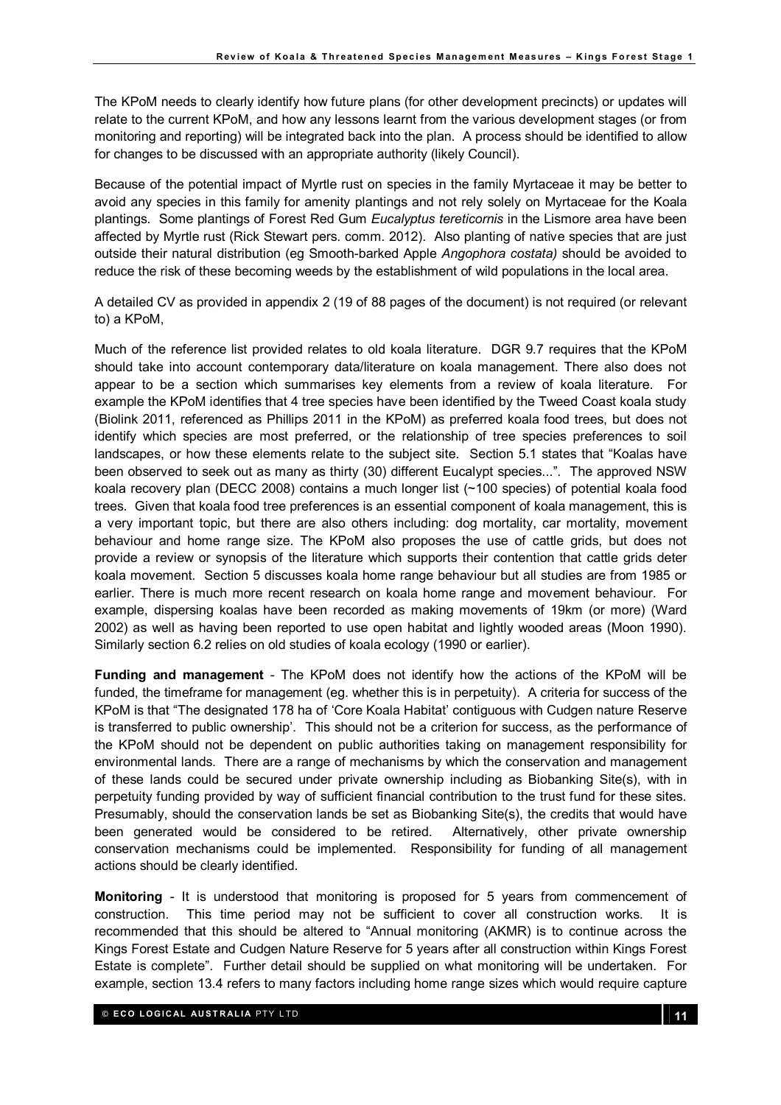The KPoM needs to clearly identify how future plans (for other development precincts) or updates will relate to the current KPoM, and how any lessons learnt from the various development stages (or from monitoring and reporting) will be integrated back into the plan. A process should be identified to allow for changes to be discussed with an appropriate authority (likely Council).

Because of the potential impact of Myrtle rust on species in the family Myrtaceae it may be better to avoid any species in this family for amenity plantings and not rely solely on Myrtaceae for the Koala plantings. Some plantings of Forest Red Gum Eucalyptus tereticornis in the Lismore area have been affected by Myrtle rust (Rick Stewart pers. comm. 2012). Also planting of native species that are just outside their natural distribution (eg Smooth-barked Apple Angophora costata) should be avoided to reduce the risk of these becoming weeds by the establishment of wild populations in the local area.

A detailed CV as provided in appendix 2 (19 of 88 pages of the document) is not required (or relevant to) a KPoM,

Much of the reference list provided relates to old koala literature. DGR 9.7 requires that the KPoM should take into account contemporary data/literature on koala management. There also does not appear to be a section which summarises key elements from a review of koala literature. For example the KPoM identifies that 4 tree species have been identified by the Tweed Coast koala study (Biolink 2011, referenced as Phillips 2011 in the KPoM) as preferred koala food trees, but does not identify which species are most preferred, or the relationship of tree species preferences to soil landscapes, or how these elements relate to the subject site. Section 5.1 states that "Koalas have been observed to seek out as many as thirty (30) different Eucalypt species...". The approved NSW koala recovery plan (DECC 2008) contains a much longer list (~100 species) of potential koala food trees. Given that koala food tree preferences is an essential component of koala management, this is a very important topic, but there are also others including: dog mortality, car mortality, movement behaviour and home range size. The KPoM also proposes the use of cattle grids, but does not provide a review or synopsis of the literature which supports their contention that cattle grids deter koala movement. Section 5 discusses koala home range behaviour but all studies are from 1985 or earlier. There is much more recent research on koala home range and movement behaviour. For example, dispersing koalas have been recorded as making movements of 19km (or more) (Ward 2002) as well as having been reported to use open habitat and lightly wooded areas (Moon 1990). Similarly section 6.2 relies on old studies of koala ecology (1990 or earlier).

Funding and management - The KPoM does not identify how the actions of the KPoM will be funded, the timeframe for management (eg. whether this is in perpetuity). A criteria for success of the KPoM is that "The designated 178 ha of 'Core Koala Habitat' contiguous with Cudgen nature Reserve is transferred to public ownership'. This should not be a criterion for success, as the performance of the KPoM should not be dependent on public authorities taking on management responsibility for environmental lands. There are a range of mechanisms by which the conservation and management of these lands could be secured under private ownership including as Biobanking Site(s), with in perpetuity funding provided by way of sufficient financial contribution to the trust fund for these sites. Presumably, should the conservation lands be set as Biobanking Site(s), the credits that would have been generated would be considered to be retired. Alternatively, other private ownership conservation mechanisms could be implemented. Responsibility for funding of all management actions should be clearly identified.

Monitoring - It is understood that monitoring is proposed for 5 years from commencement of construction. This time period may not be sufficient to cover all construction works. It is recommended that this should be altered to "Annual monitoring (AKMR) is to continue across the Kings Forest Estate and Cudgen Nature Reserve for 5 years after all construction within Kings Forest Estate is complete". Further detail should be supplied on what monitoring will be undertaken. For example, section 13.4 refers to many factors including home range sizes which would require capture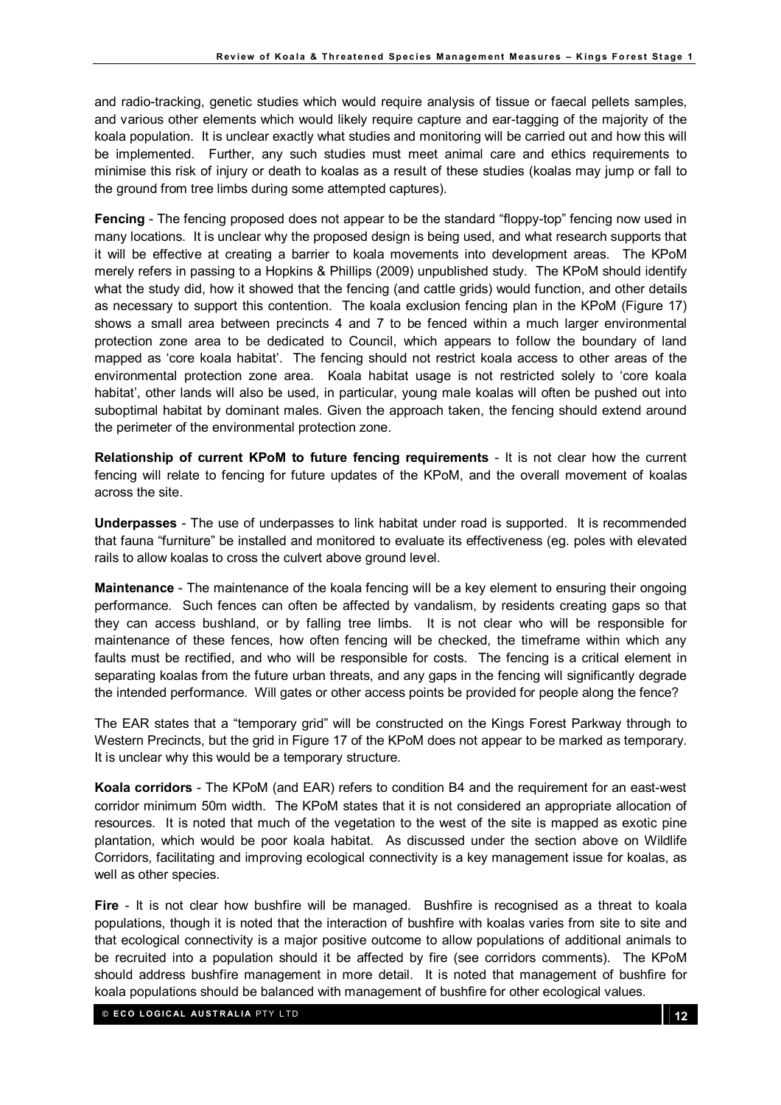and radio-tracking, genetic studies which would require analysis of tissue or faecal pellets samples, and various other elements which would likely require capture and ear-tagging of the majority of the koala population. It is unclear exactly what studies and monitoring will be carried out and how this will be implemented. Further, any such studies must meet animal care and ethics requirements to minimise this risk of injury or death to koalas as a result of these studies (koalas may jump or fall to the ground from tree limbs during some attempted captures).

Fencing - The fencing proposed does not appear to be the standard "floppy-top" fencing now used in many locations. It is unclear why the proposed design is being used, and what research supports that it will be effective at creating a barrier to koala movements into development areas. The KPoM merely refers in passing to a Hopkins & Phillips (2009) unpublished study. The KPoM should identify what the study did, how it showed that the fencing (and cattle grids) would function, and other details as necessary to support this contention. The koala exclusion fencing plan in the KPoM (Figure 17) shows a small area between precincts 4 and 7 to be fenced within a much larger environmental protection zone area to be dedicated to Council, which appears to follow the boundary of land mapped as 'core koala habitat'. The fencing should not restrict koala access to other areas of the environmental protection zone area. Koala habitat usage is not restricted solely to 'core koala habitat', other lands will also be used, in particular, young male koalas will often be pushed out into suboptimal habitat by dominant males. Given the approach taken, the fencing should extend around the perimeter of the environmental protection zone.

Relationship of current KPoM to future fencing requirements - It is not clear how the current fencing will relate to fencing for future updates of the KPoM, and the overall movement of koalas across the site.

Underpasses - The use of underpasses to link habitat under road is supported. It is recommended that fauna "furniture" be installed and monitored to evaluate its effectiveness (eg. poles with elevated rails to allow koalas to cross the culvert above ground level.

Maintenance - The maintenance of the koala fencing will be a key element to ensuring their ongoing performance. Such fences can often be affected by vandalism, by residents creating gaps so that they can access bushland, or by falling tree limbs. It is not clear who will be responsible for maintenance of these fences, how often fencing will be checked, the timeframe within which any faults must be rectified, and who will be responsible for costs. The fencing is a critical element in separating koalas from the future urban threats, and any gaps in the fencing will significantly degrade the intended performance. Will gates or other access points be provided for people along the fence?

The EAR states that a "temporary grid" will be constructed on the Kings Forest Parkway through to Western Precincts, but the grid in Figure 17 of the KPoM does not appear to be marked as temporary. It is unclear why this would be a temporary structure.

Koala corridors - The KPoM (and EAR) refers to condition B4 and the requirement for an east-west corridor minimum 50m width. The KPoM states that it is not considered an appropriate allocation of resources. It is noted that much of the vegetation to the west of the site is mapped as exotic pine plantation, which would be poor koala habitat. As discussed under the section above on Wildlife Corridors, facilitating and improving ecological connectivity is a key management issue for koalas, as well as other species.

Fire - It is not clear how bushfire will be managed. Bushfire is recognised as a threat to koala populations, though it is noted that the interaction of bushfire with koalas varies from site to site and that ecological connectivity is a major positive outcome to allow populations of additional animals to be recruited into a population should it be affected by fire (see corridors comments). The KPoM should address bushfire management in more detail. It is noted that management of bushfire for koala populations should be balanced with management of bushfire for other ecological values.

© ECO LOGICAL AUSTRALIA PTY LTD 12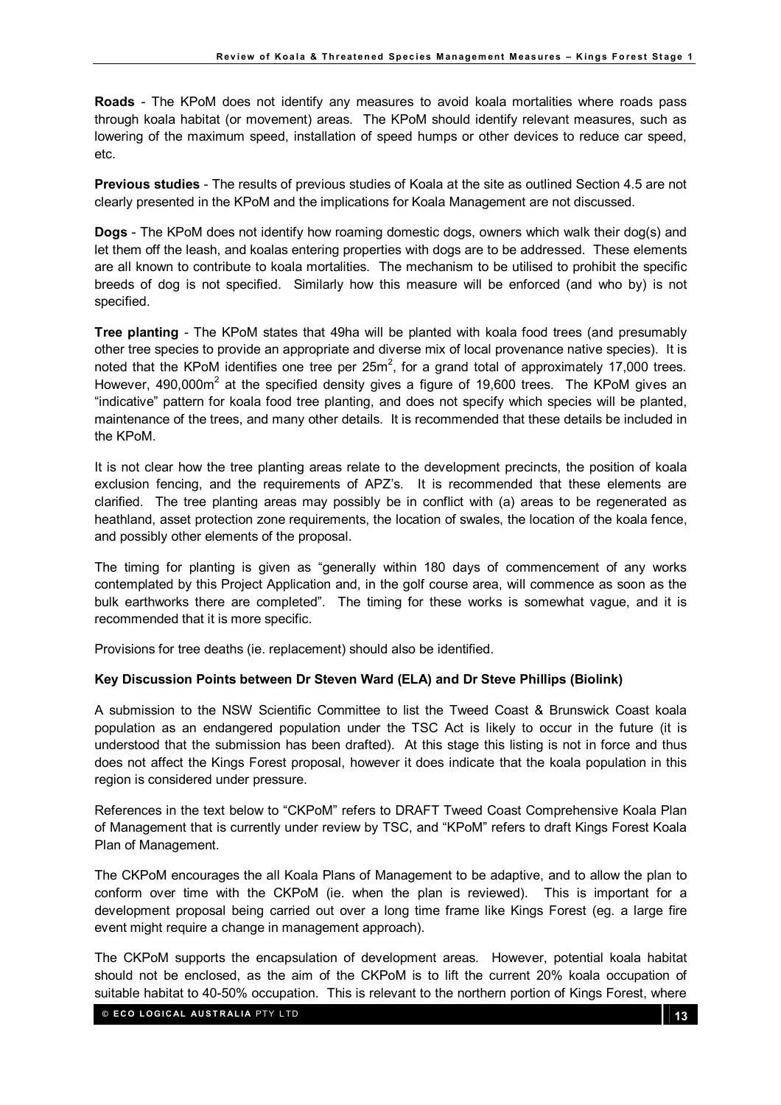Roads - The KPoM does not identify any measures to avoid koala mortalities where roads pass through koala habitat (or movement) areas. The KPoM should identify relevant measures, such as lowering of the maximum speed, installation of speed humps or other devices to reduce car speed, etc.

Previous studies - The results of previous studies of Koala at the site as outlined Section 4.5 are not clearly presented in the KPoM and the implications for Koala Management are not discussed.

Dogs - The KPoM does not identify how roaming domestic dogs, owners which walk their dog(s) and let them off the leash, and koalas entering properties with dogs are to be addressed. These elements are all known to contribute to koala mortalities. The mechanism to be utilised to prohibit the specific breeds of dog is not specified. Similarly how this measure will be enforced (and who by) is not specified.

Tree planting - The KPoM states that 49ha will be planted with koala food trees (and presumably other tree species to provide an appropriate and diverse mix of local provenance native species). It is noted that the KPoM identifies one tree per  $25m^2$ , for a grand total of approximately 17,000 trees. However, 490,000m<sup>2</sup> at the specified density gives a figure of 19,600 trees. The KPoM gives an "indicative" pattern for koala food tree planting, and does not specify which species will be planted, maintenance of the trees, and many other details. It is recommended that these details be included in the KPoM.

It is not clear how the tree planting areas relate to the development precincts, the position of koala exclusion fencing, and the requirements of APZ's. It is recommended that these elements are clarified. The tree planting areas may possibly be in conflict with (a) areas to be regenerated as heathland, asset protection zone requirements, the location of swales, the location of the koala fence, and possibly other elements of the proposal.

The timing for planting is given as "generally within 180 days of commencement of any works contemplated by this Project Application and, in the golf course area, will commence as soon as the bulk earthworks there are completed". The timing for these works is somewhat vague, and it is recommended that it is more specific.

Provisions for tree deaths (ie. replacement) should also be identified.

#### Key Discussion Points between Dr Steven Ward (ELA) and Dr Steve Phillips (Biolink)

A submission to the NSW Scientific Committee to list the Tweed Coast & Brunswick Coast koala population as an endangered population under the TSC Act is likely to occur in the future (it is understood that the submission has been drafted). At this stage this listing is not in force and thus does not affect the Kings Forest proposal, however it does indicate that the koala population in this region is considered under pressure.

References in the text below to "CKPoM" refers to DRAFT Tweed Coast Comprehensive Koala Plan of Management that is currently under review by TSC, and "KPoM" refers to draft Kings Forest Koala Plan of Management.

The CKPoM encourages the all Koala Plans of Management to be adaptive, and to allow the plan to conform over time with the CKPoM (ie. when the plan is reviewed). This is important for a development proposal being carried out over a long time frame like Kings Forest (eg. a large fire event might require a change in management approach).

The CKPoM supports the encapsulation of development areas. However, potential koala habitat should not be enclosed, as the aim of the CKPoM is to lift the current 20% koala occupation of suitable habitat to 40-50% occupation. This is relevant to the northern portion of Kings Forest, where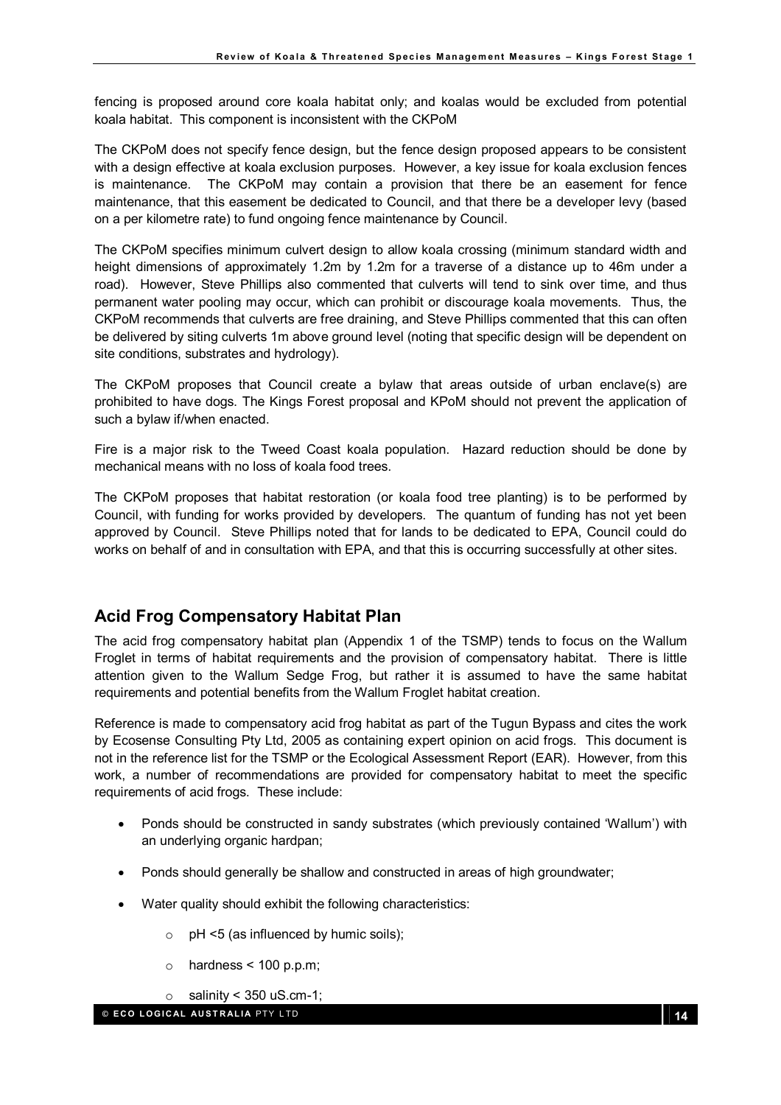fencing is proposed around core koala habitat only; and koalas would be excluded from potential koala habitat. This component is inconsistent with the CKPoM

The CKPoM does not specify fence design, but the fence design proposed appears to be consistent with a design effective at koala exclusion purposes. However, a key issue for koala exclusion fences is maintenance. The CKPoM may contain a provision that there be an easement for fence maintenance, that this easement be dedicated to Council, and that there be a developer levy (based on a per kilometre rate) to fund ongoing fence maintenance by Council.

The CKPoM specifies minimum culvert design to allow koala crossing (minimum standard width and height dimensions of approximately 1.2m by 1.2m for a traverse of a distance up to 46m under a road). However, Steve Phillips also commented that culverts will tend to sink over time, and thus permanent water pooling may occur, which can prohibit or discourage koala movements. Thus, the CKPoM recommends that culverts are free draining, and Steve Phillips commented that this can often be delivered by siting culverts 1m above ground level (noting that specific design will be dependent on site conditions, substrates and hydrology).

The CKPoM proposes that Council create a bylaw that areas outside of urban enclave(s) are prohibited to have dogs. The Kings Forest proposal and KPoM should not prevent the application of such a bylaw if/when enacted.

Fire is a major risk to the Tweed Coast koala population. Hazard reduction should be done by mechanical means with no loss of koala food trees.

The CKPoM proposes that habitat restoration (or koala food tree planting) is to be performed by Council, with funding for works provided by developers. The quantum of funding has not yet been approved by Council. Steve Phillips noted that for lands to be dedicated to EPA, Council could do works on behalf of and in consultation with EPA, and that this is occurring successfully at other sites.

### Acid Frog Compensatory Habitat Plan

The acid frog compensatory habitat plan (Appendix 1 of the TSMP) tends to focus on the Wallum Froglet in terms of habitat requirements and the provision of compensatory habitat. There is little attention given to the Wallum Sedge Frog, but rather it is assumed to have the same habitat requirements and potential benefits from the Wallum Froglet habitat creation.

Reference is made to compensatory acid frog habitat as part of the Tugun Bypass and cites the work by Ecosense Consulting Pty Ltd, 2005 as containing expert opinion on acid frogs. This document is not in the reference list for the TSMP or the Ecological Assessment Report (EAR). However, from this work, a number of recommendations are provided for compensatory habitat to meet the specific requirements of acid frogs. These include:

- Ponds should be constructed in sandy substrates (which previously contained 'Wallum') with an underlying organic hardpan;
- Ponds should generally be shallow and constructed in areas of high groundwater;
- Water quality should exhibit the following characteristics:
	- $\circ$  pH <5 (as influenced by humic soils);
	- $\circ$  hardness < 100 p.p.m;
	- $\circ$  salinity < 350 uS.cm-1;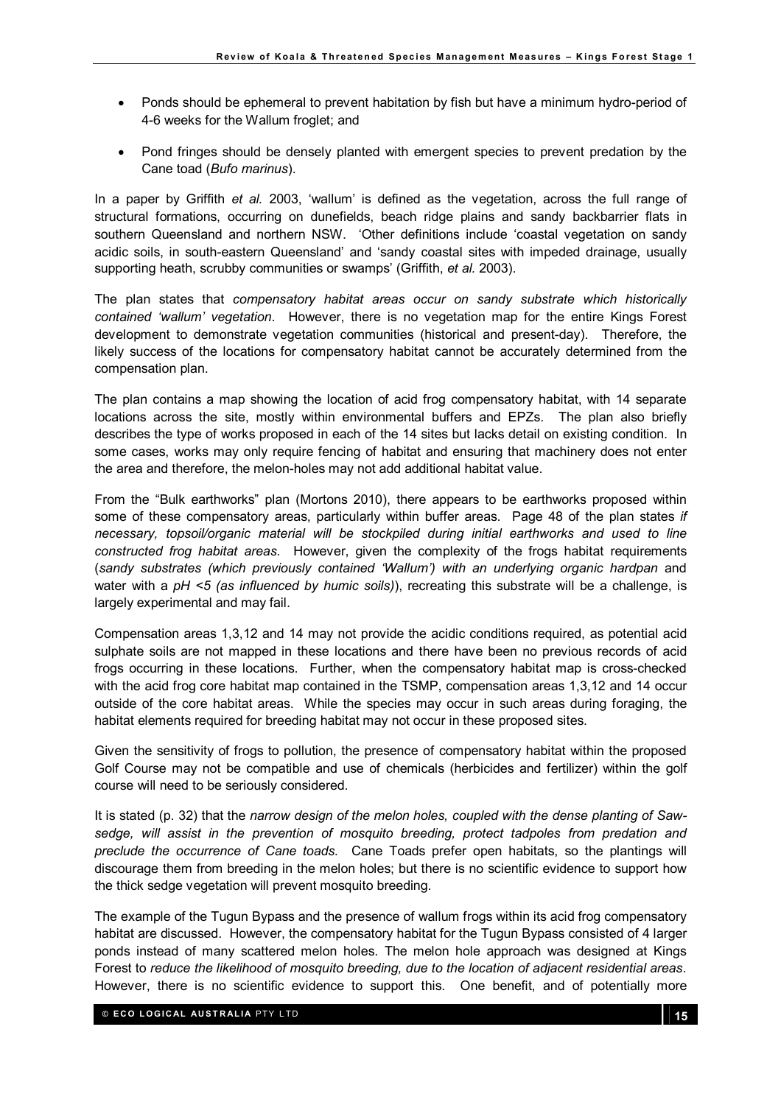- Ponds should be ephemeral to prevent habitation by fish but have a minimum hydro-period of 4-6 weeks for the Wallum froglet; and
- Pond fringes should be densely planted with emergent species to prevent predation by the Cane toad (Bufo marinus).

In a paper by Griffith et al. 2003, 'wallum' is defined as the vegetation, across the full range of structural formations, occurring on dunefields, beach ridge plains and sandy backbarrier flats in southern Queensland and northern NSW. 'Other definitions include 'coastal vegetation on sandy acidic soils, in south-eastern Queensland' and 'sandy coastal sites with impeded drainage, usually supporting heath, scrubby communities or swamps' (Griffith, et al. 2003).

The plan states that compensatory habitat areas occur on sandy substrate which historically contained 'wallum' vegetation. However, there is no vegetation map for the entire Kings Forest development to demonstrate vegetation communities (historical and present-day). Therefore, the likely success of the locations for compensatory habitat cannot be accurately determined from the compensation plan.

The plan contains a map showing the location of acid frog compensatory habitat, with 14 separate locations across the site, mostly within environmental buffers and EPZs. The plan also briefly describes the type of works proposed in each of the 14 sites but lacks detail on existing condition. In some cases, works may only require fencing of habitat and ensuring that machinery does not enter the area and therefore, the melon-holes may not add additional habitat value.

From the "Bulk earthworks" plan (Mortons 2010), there appears to be earthworks proposed within some of these compensatory areas, particularly within buffer areas. Page 48 of the plan states if necessary, topsoil/organic material will be stockpiled during initial earthworks and used to line constructed frog habitat areas. However, given the complexity of the frogs habitat requirements (sandy substrates (which previously contained 'Wallum') with an underlying organic hardpan and water with a  $pH \le 5$  (as influenced by humic soils)), recreating this substrate will be a challenge, is largely experimental and may fail.

Compensation areas 1,3,12 and 14 may not provide the acidic conditions required, as potential acid sulphate soils are not mapped in these locations and there have been no previous records of acid frogs occurring in these locations. Further, when the compensatory habitat map is cross-checked with the acid frog core habitat map contained in the TSMP, compensation areas 1,3,12 and 14 occur outside of the core habitat areas. While the species may occur in such areas during foraging, the habitat elements required for breeding habitat may not occur in these proposed sites.

Given the sensitivity of frogs to pollution, the presence of compensatory habitat within the proposed Golf Course may not be compatible and use of chemicals (herbicides and fertilizer) within the golf course will need to be seriously considered.

It is stated (p. 32) that the narrow design of the melon holes, coupled with the dense planting of Sawsedge, will assist in the prevention of mosquito breeding, protect tadpoles from predation and preclude the occurrence of Cane toads. Cane Toads prefer open habitats, so the plantings will discourage them from breeding in the melon holes; but there is no scientific evidence to support how the thick sedge vegetation will prevent mosquito breeding.

The example of the Tugun Bypass and the presence of wallum frogs within its acid frog compensatory habitat are discussed. However, the compensatory habitat for the Tugun Bypass consisted of 4 larger ponds instead of many scattered melon holes. The melon hole approach was designed at Kings Forest to reduce the likelihood of mosquito breeding, due to the location of adjacent residential areas. However, there is no scientific evidence to support this. One benefit, and of potentially more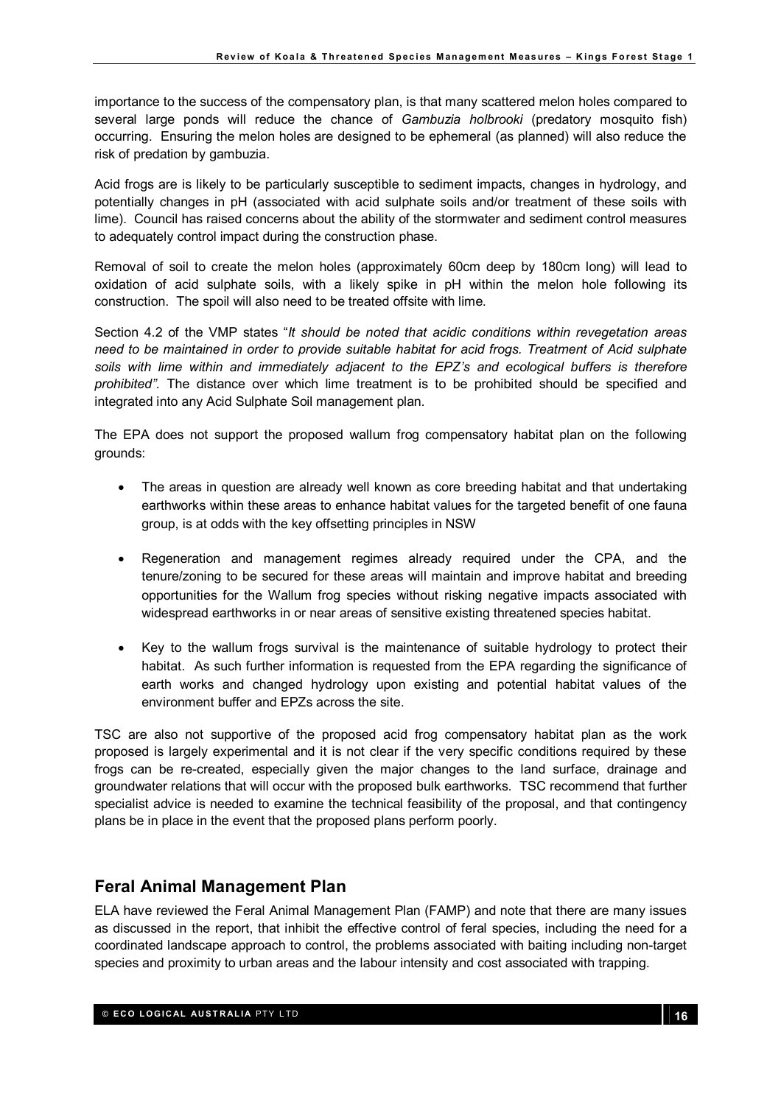importance to the success of the compensatory plan, is that many scattered melon holes compared to several large ponds will reduce the chance of Gambuzia holbrooki (predatory mosquito fish) occurring. Ensuring the melon holes are designed to be ephemeral (as planned) will also reduce the risk of predation by gambuzia.

Acid frogs are is likely to be particularly susceptible to sediment impacts, changes in hydrology, and potentially changes in pH (associated with acid sulphate soils and/or treatment of these soils with lime). Council has raised concerns about the ability of the stormwater and sediment control measures to adequately control impact during the construction phase.

Removal of soil to create the melon holes (approximately 60cm deep by 180cm long) will lead to oxidation of acid sulphate soils, with a likely spike in pH within the melon hole following its construction. The spoil will also need to be treated offsite with lime.

Section 4.2 of the VMP states "It should be noted that acidic conditions within revegetation areas need to be maintained in order to provide suitable habitat for acid frogs. Treatment of Acid sulphate soils with lime within and immediately adjacent to the EPZ's and ecological buffers is therefore prohibited". The distance over which lime treatment is to be prohibited should be specified and integrated into any Acid Sulphate Soil management plan.

The EPA does not support the proposed wallum frog compensatory habitat plan on the following grounds:

- The areas in question are already well known as core breeding habitat and that undertaking earthworks within these areas to enhance habitat values for the targeted benefit of one fauna group, is at odds with the key offsetting principles in NSW
- Regeneration and management regimes already required under the CPA, and the tenure/zoning to be secured for these areas will maintain and improve habitat and breeding opportunities for the Wallum frog species without risking negative impacts associated with widespread earthworks in or near areas of sensitive existing threatened species habitat.
- Key to the wallum frogs survival is the maintenance of suitable hydrology to protect their habitat. As such further information is requested from the EPA regarding the significance of earth works and changed hydrology upon existing and potential habitat values of the environment buffer and EPZs across the site.

TSC are also not supportive of the proposed acid frog compensatory habitat plan as the work proposed is largely experimental and it is not clear if the very specific conditions required by these frogs can be re-created, especially given the major changes to the land surface, drainage and groundwater relations that will occur with the proposed bulk earthworks. TSC recommend that further specialist advice is needed to examine the technical feasibility of the proposal, and that contingency plans be in place in the event that the proposed plans perform poorly.

### Feral Animal Management Plan

ELA have reviewed the Feral Animal Management Plan (FAMP) and note that there are many issues as discussed in the report, that inhibit the effective control of feral species, including the need for a coordinated landscape approach to control, the problems associated with baiting including non-target species and proximity to urban areas and the labour intensity and cost associated with trapping.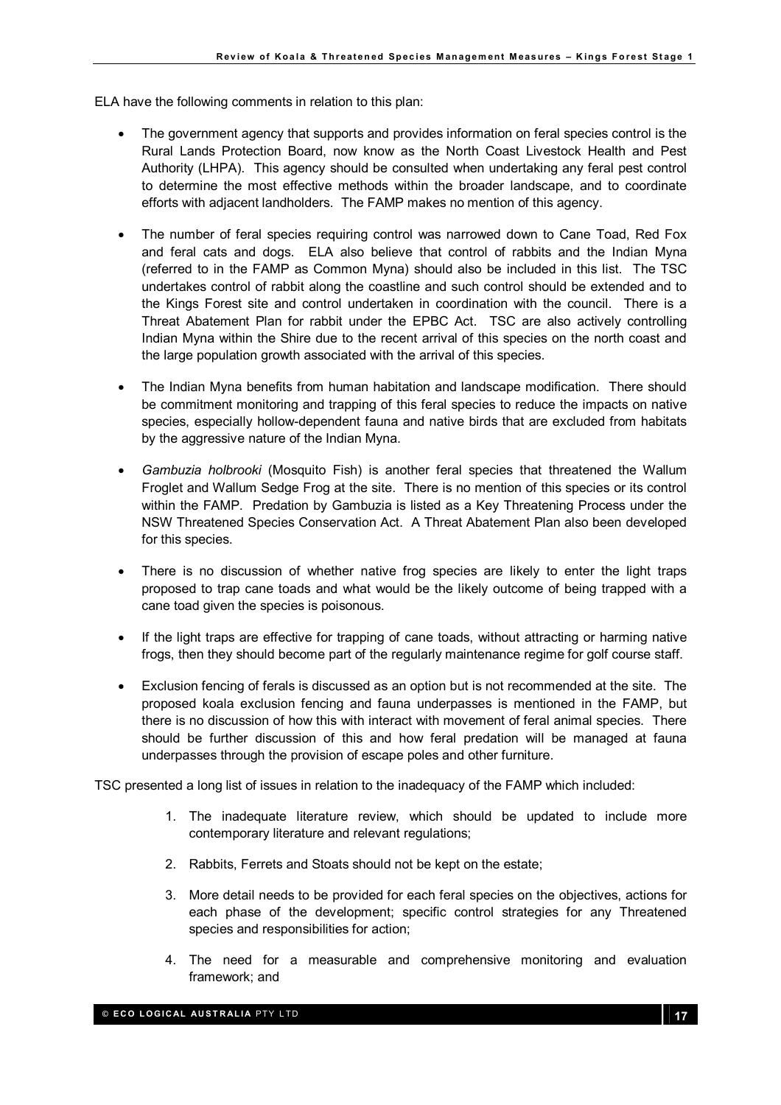ELA have the following comments in relation to this plan:

- The government agency that supports and provides information on feral species control is the Rural Lands Protection Board, now know as the North Coast Livestock Health and Pest Authority (LHPA). This agency should be consulted when undertaking any feral pest control to determine the most effective methods within the broader landscape, and to coordinate efforts with adjacent landholders. The FAMP makes no mention of this agency.
- The number of feral species requiring control was narrowed down to Cane Toad, Red Fox and feral cats and dogs. ELA also believe that control of rabbits and the Indian Myna (referred to in the FAMP as Common Myna) should also be included in this list. The TSC undertakes control of rabbit along the coastline and such control should be extended and to the Kings Forest site and control undertaken in coordination with the council. There is a Threat Abatement Plan for rabbit under the EPBC Act. TSC are also actively controlling Indian Myna within the Shire due to the recent arrival of this species on the north coast and the large population growth associated with the arrival of this species.
- The Indian Myna benefits from human habitation and landscape modification. There should be commitment monitoring and trapping of this feral species to reduce the impacts on native species, especially hollow-dependent fauna and native birds that are excluded from habitats by the aggressive nature of the Indian Myna.
- Gambuzia holbrooki (Mosquito Fish) is another feral species that threatened the Wallum Froglet and Wallum Sedge Frog at the site. There is no mention of this species or its control within the FAMP. Predation by Gambuzia is listed as a Key Threatening Process under the NSW Threatened Species Conservation Act. A Threat Abatement Plan also been developed for this species.
- There is no discussion of whether native frog species are likely to enter the light traps proposed to trap cane toads and what would be the likely outcome of being trapped with a cane toad given the species is poisonous.
- If the light traps are effective for trapping of cane toads, without attracting or harming native frogs, then they should become part of the regularly maintenance regime for golf course staff.
- Exclusion fencing of ferals is discussed as an option but is not recommended at the site. The proposed koala exclusion fencing and fauna underpasses is mentioned in the FAMP, but there is no discussion of how this with interact with movement of feral animal species. There should be further discussion of this and how feral predation will be managed at fauna underpasses through the provision of escape poles and other furniture.

TSC presented a long list of issues in relation to the inadequacy of the FAMP which included:

- 1. The inadequate literature review, which should be updated to include more contemporary literature and relevant regulations;
- 2. Rabbits, Ferrets and Stoats should not be kept on the estate;
- 3. More detail needs to be provided for each feral species on the objectives, actions for each phase of the development; specific control strategies for any Threatened species and responsibilities for action;
- 4. The need for a measurable and comprehensive monitoring and evaluation framework; and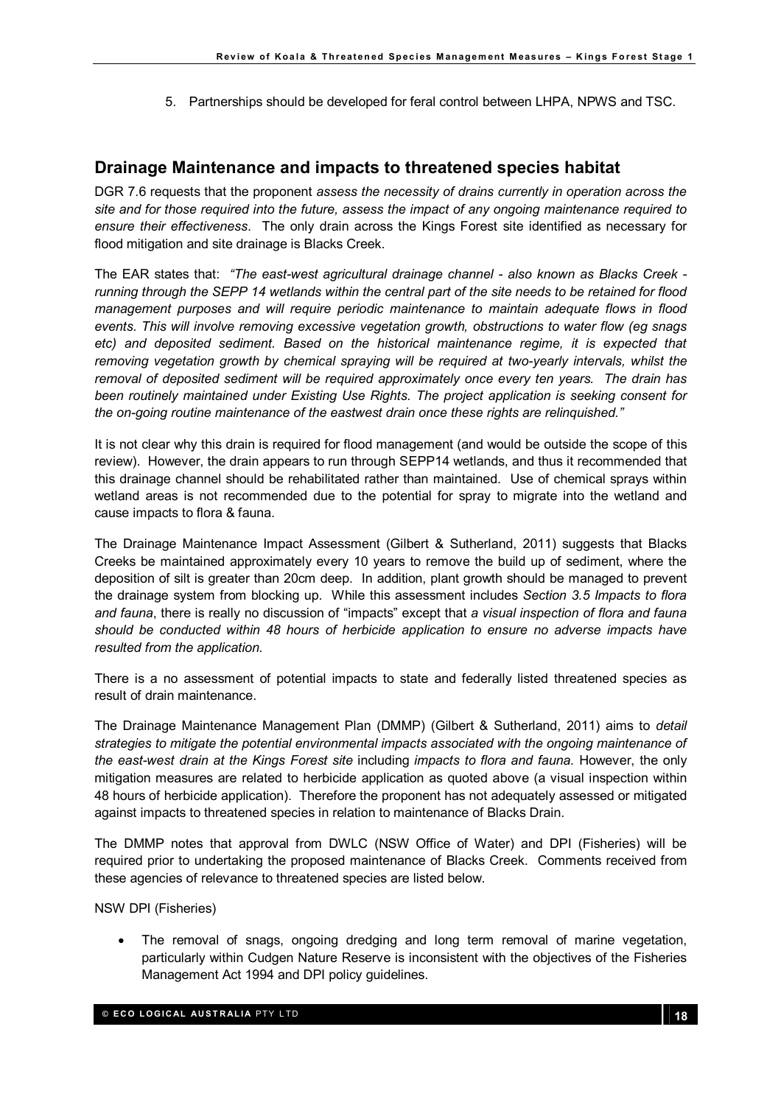5. Partnerships should be developed for feral control between LHPA, NPWS and TSC.

#### Drainage Maintenance and impacts to threatened species habitat

DGR 7.6 requests that the proponent assess the necessity of drains currently in operation across the site and for those required into the future, assess the impact of any ongoing maintenance required to ensure their effectiveness. The only drain across the Kings Forest site identified as necessary for flood mitigation and site drainage is Blacks Creek.

The EAR states that: "The east-west agricultural drainage channel - also known as Blacks Creek running through the SEPP 14 wetlands within the central part of the site needs to be retained for flood management purposes and will require periodic maintenance to maintain adequate flows in flood events. This will involve removing excessive vegetation growth, obstructions to water flow (eg snags etc) and deposited sediment. Based on the historical maintenance regime, it is expected that removing vegetation growth by chemical spraying will be required at two-yearly intervals, whilst the removal of deposited sediment will be required approximately once every ten years. The drain has been routinely maintained under Existing Use Rights. The project application is seeking consent for the on-going routine maintenance of the eastwest drain once these rights are relinquished."

It is not clear why this drain is required for flood management (and would be outside the scope of this review). However, the drain appears to run through SEPP14 wetlands, and thus it recommended that this drainage channel should be rehabilitated rather than maintained. Use of chemical sprays within wetland areas is not recommended due to the potential for spray to migrate into the wetland and cause impacts to flora & fauna.

The Drainage Maintenance Impact Assessment (Gilbert & Sutherland, 2011) suggests that Blacks Creeks be maintained approximately every 10 years to remove the build up of sediment, where the deposition of silt is greater than 20cm deep. In addition, plant growth should be managed to prevent the drainage system from blocking up. While this assessment includes Section 3.5 Impacts to flora and fauna, there is really no discussion of "impacts" except that a visual inspection of flora and fauna should be conducted within 48 hours of herbicide application to ensure no adverse impacts have resulted from the application.

There is a no assessment of potential impacts to state and federally listed threatened species as result of drain maintenance.

The Drainage Maintenance Management Plan (DMMP) (Gilbert & Sutherland, 2011) aims to detail strategies to mitigate the potential environmental impacts associated with the ongoing maintenance of the east-west drain at the Kings Forest site including impacts to flora and fauna. However, the only mitigation measures are related to herbicide application as quoted above (a visual inspection within 48 hours of herbicide application). Therefore the proponent has not adequately assessed or mitigated against impacts to threatened species in relation to maintenance of Blacks Drain.

The DMMP notes that approval from DWLC (NSW Office of Water) and DPI (Fisheries) will be required prior to undertaking the proposed maintenance of Blacks Creek. Comments received from these agencies of relevance to threatened species are listed below.

NSW DPI (Fisheries)

The removal of snags, ongoing dredging and long term removal of marine vegetation, particularly within Cudgen Nature Reserve is inconsistent with the objectives of the Fisheries Management Act 1994 and DPI policy guidelines.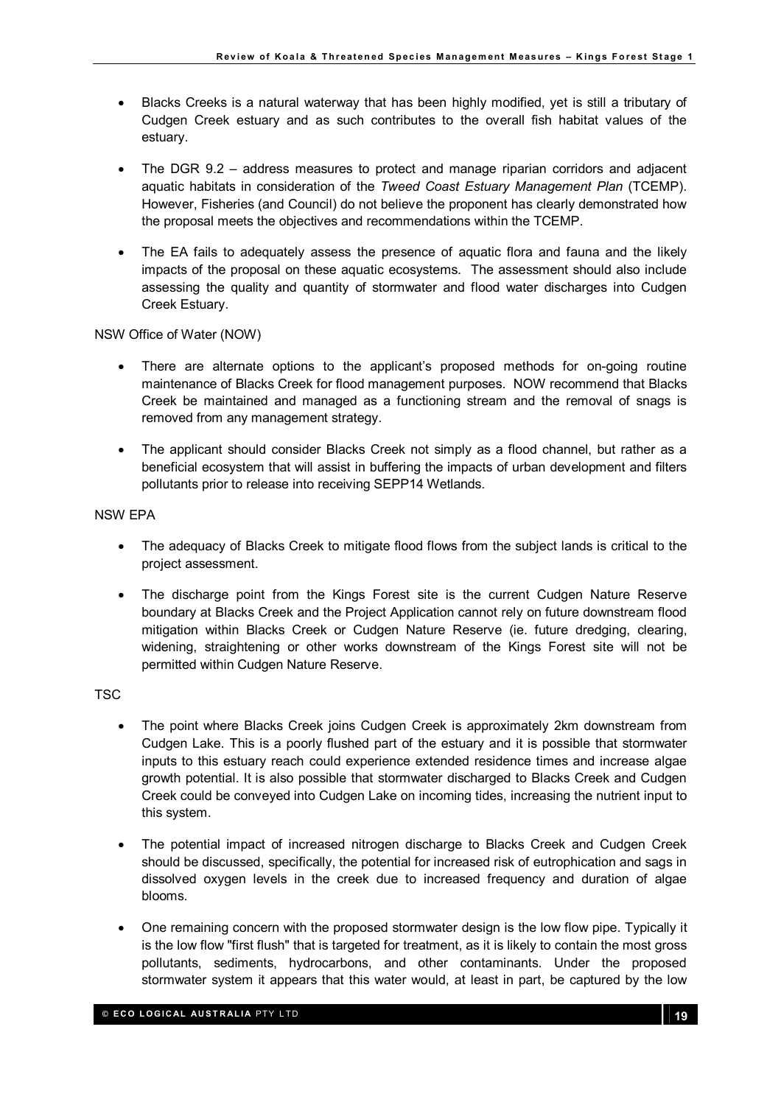- Blacks Creeks is a natural waterway that has been highly modified, yet is still a tributary of Cudgen Creek estuary and as such contributes to the overall fish habitat values of the estuary.
- The DGR 9.2 address measures to protect and manage riparian corridors and adiacent aquatic habitats in consideration of the Tweed Coast Estuary Management Plan (TCEMP). However, Fisheries (and Council) do not believe the proponent has clearly demonstrated how the proposal meets the objectives and recommendations within the TCEMP.
- The EA fails to adequately assess the presence of aquatic flora and fauna and the likely impacts of the proposal on these aquatic ecosystems. The assessment should also include assessing the quality and quantity of stormwater and flood water discharges into Cudgen Creek Estuary.

NSW Office of Water (NOW)

- There are alternate options to the applicant's proposed methods for on-going routine maintenance of Blacks Creek for flood management purposes. NOW recommend that Blacks Creek be maintained and managed as a functioning stream and the removal of snags is removed from any management strategy.
- The applicant should consider Blacks Creek not simply as a flood channel, but rather as a beneficial ecosystem that will assist in buffering the impacts of urban development and filters pollutants prior to release into receiving SEPP14 Wetlands.

NSW EPA

- The adequacy of Blacks Creek to mitigate flood flows from the subject lands is critical to the project assessment.
- The discharge point from the Kings Forest site is the current Cudgen Nature Reserve boundary at Blacks Creek and the Project Application cannot rely on future downstream flood mitigation within Blacks Creek or Cudgen Nature Reserve (ie. future dredging, clearing, widening, straightening or other works downstream of the Kings Forest site will not be permitted within Cudgen Nature Reserve.

TSC

- The point where Blacks Creek joins Cudgen Creek is approximately 2km downstream from Cudgen Lake. This is a poorly flushed part of the estuary and it is possible that stormwater inputs to this estuary reach could experience extended residence times and increase algae growth potential. It is also possible that stormwater discharged to Blacks Creek and Cudgen Creek could be conveyed into Cudgen Lake on incoming tides, increasing the nutrient input to this system.
- The potential impact of increased nitrogen discharge to Blacks Creek and Cudgen Creek should be discussed, specifically, the potential for increased risk of eutrophication and sags in dissolved oxygen levels in the creek due to increased frequency and duration of algae blooms.
- One remaining concern with the proposed stormwater design is the low flow pipe. Typically it is the low flow "first flush" that is targeted for treatment, as it is likely to contain the most gross pollutants, sediments, hydrocarbons, and other contaminants. Under the proposed stormwater system it appears that this water would, at least in part, be captured by the low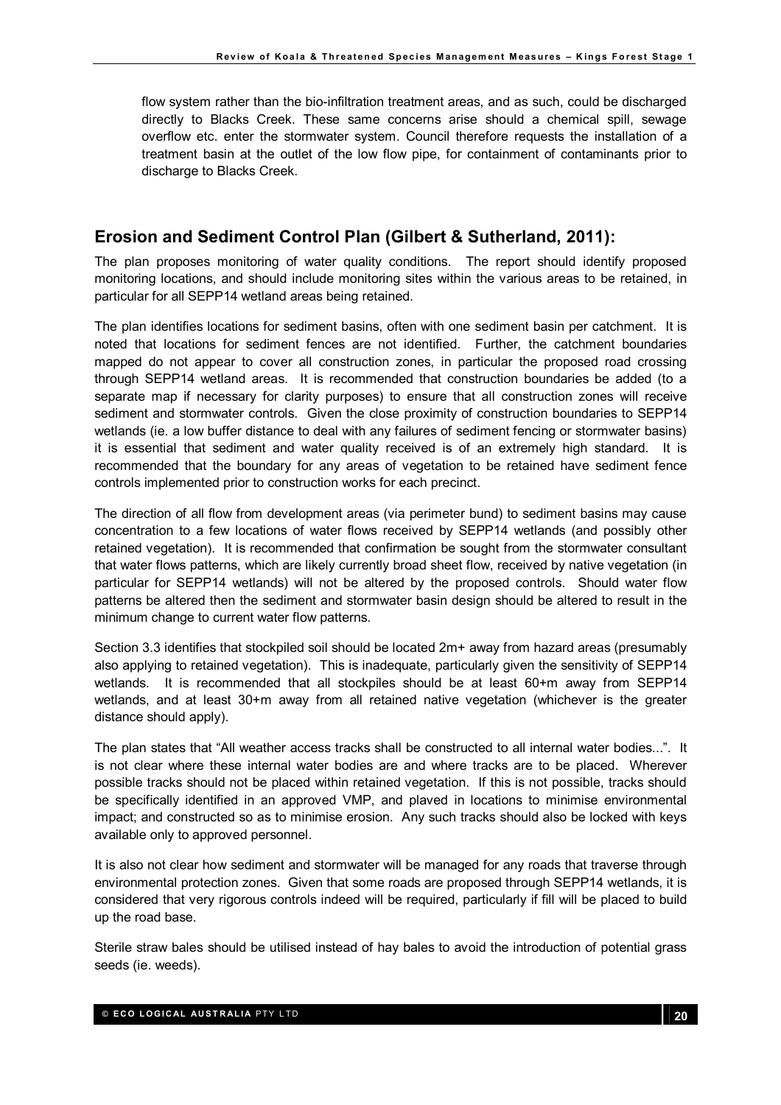flow system rather than the bio-infiltration treatment areas, and as such, could be discharged directly to Blacks Creek. These same concerns arise should a chemical spill, sewage overflow etc. enter the stormwater system. Council therefore requests the installation of a treatment basin at the outlet of the low flow pipe, for containment of contaminants prior to discharge to Blacks Creek.

### Erosion and Sediment Control Plan (Gilbert & Sutherland, 2011):

The plan proposes monitoring of water quality conditions. The report should identify proposed monitoring locations, and should include monitoring sites within the various areas to be retained, in particular for all SEPP14 wetland areas being retained.

The plan identifies locations for sediment basins, often with one sediment basin per catchment. It is noted that locations for sediment fences are not identified. Further, the catchment boundaries mapped do not appear to cover all construction zones, in particular the proposed road crossing through SEPP14 wetland areas. It is recommended that construction boundaries be added (to a separate map if necessary for clarity purposes) to ensure that all construction zones will receive sediment and stormwater controls. Given the close proximity of construction boundaries to SEPP14 wetlands (ie. a low buffer distance to deal with any failures of sediment fencing or stormwater basins) it is essential that sediment and water quality received is of an extremely high standard. It is recommended that the boundary for any areas of vegetation to be retained have sediment fence controls implemented prior to construction works for each precinct.

The direction of all flow from development areas (via perimeter bund) to sediment basins may cause concentration to a few locations of water flows received by SEPP14 wetlands (and possibly other retained vegetation). It is recommended that confirmation be sought from the stormwater consultant that water flows patterns, which are likely currently broad sheet flow, received by native vegetation (in particular for SEPP14 wetlands) will not be altered by the proposed controls. Should water flow patterns be altered then the sediment and stormwater basin design should be altered to result in the minimum change to current water flow patterns.

Section 3.3 identifies that stockpiled soil should be located 2m+ away from hazard areas (presumably also applying to retained vegetation). This is inadequate, particularly given the sensitivity of SEPP14 wetlands. It is recommended that all stockpiles should be at least 60+m away from SEPP14 wetlands, and at least 30+m away from all retained native vegetation (whichever is the greater distance should apply).

The plan states that "All weather access tracks shall be constructed to all internal water bodies...". It is not clear where these internal water bodies are and where tracks are to be placed. Wherever possible tracks should not be placed within retained vegetation. If this is not possible, tracks should be specifically identified in an approved VMP, and plaved in locations to minimise environmental impact; and constructed so as to minimise erosion. Any such tracks should also be locked with keys available only to approved personnel.

It is also not clear how sediment and stormwater will be managed for any roads that traverse through environmental protection zones. Given that some roads are proposed through SEPP14 wetlands, it is considered that very rigorous controls indeed will be required, particularly if fill will be placed to build up the road base.

Sterile straw bales should be utilised instead of hay bales to avoid the introduction of potential grass seeds (ie. weeds).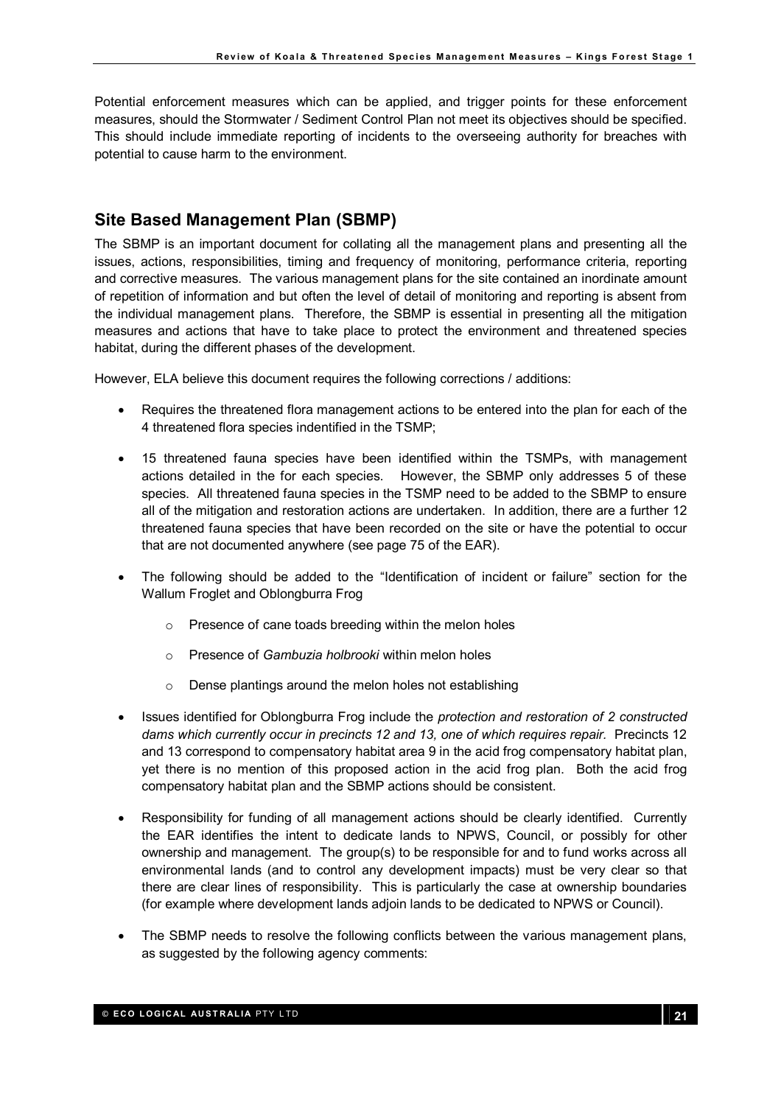Potential enforcement measures which can be applied, and trigger points for these enforcement measures, should the Stormwater / Sediment Control Plan not meet its objectives should be specified. This should include immediate reporting of incidents to the overseeing authority for breaches with potential to cause harm to the environment.

# Site Based Management Plan (SBMP)

The SBMP is an important document for collating all the management plans and presenting all the issues, actions, responsibilities, timing and frequency of monitoring, performance criteria, reporting and corrective measures. The various management plans for the site contained an inordinate amount of repetition of information and but often the level of detail of monitoring and reporting is absent from the individual management plans. Therefore, the SBMP is essential in presenting all the mitigation measures and actions that have to take place to protect the environment and threatened species habitat, during the different phases of the development.

However, ELA believe this document requires the following corrections / additions:

- Requires the threatened flora management actions to be entered into the plan for each of the 4 threatened flora species indentified in the TSMP;
- 15 threatened fauna species have been identified within the TSMPs, with management actions detailed in the for each species. However, the SBMP only addresses 5 of these species. All threatened fauna species in the TSMP need to be added to the SBMP to ensure all of the mitigation and restoration actions are undertaken. In addition, there are a further 12 threatened fauna species that have been recorded on the site or have the potential to occur that are not documented anywhere (see page 75 of the EAR).
- The following should be added to the "Identification of incident or failure" section for the Wallum Froglet and Oblongburra Frog
	- o Presence of cane toads breeding within the melon holes
	- $\circ$  Presence of Gambuzia holbrooki within melon holes
	- $\circ$  Dense plantings around the melon holes not establishing
- Issues identified for Oblongburra Frog include the *protection and restoration of 2 constructed* dams which currently occur in precincts 12 and 13, one of which requires repair. Precincts 12 and 13 correspond to compensatory habitat area 9 in the acid frog compensatory habitat plan, yet there is no mention of this proposed action in the acid frog plan. Both the acid frog compensatory habitat plan and the SBMP actions should be consistent.
- Responsibility for funding of all management actions should be clearly identified. Currently the EAR identifies the intent to dedicate lands to NPWS, Council, or possibly for other ownership and management. The group(s) to be responsible for and to fund works across all environmental lands (and to control any development impacts) must be very clear so that there are clear lines of responsibility. This is particularly the case at ownership boundaries (for example where development lands adjoin lands to be dedicated to NPWS or Council).
- The SBMP needs to resolve the following conflicts between the various management plans, as suggested by the following agency comments: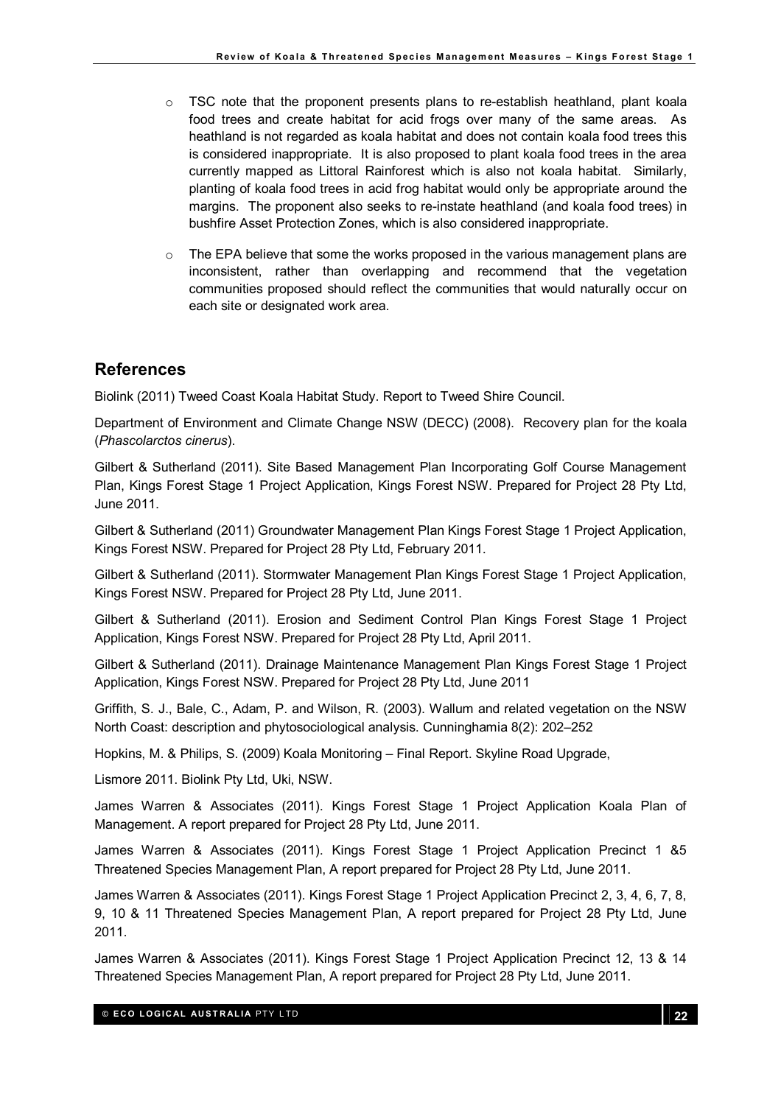- $\circ$  TSC note that the proponent presents plans to re-establish heathland, plant koala food trees and create habitat for acid frogs over many of the same areas. As heathland is not regarded as koala habitat and does not contain koala food trees this is considered inappropriate. It is also proposed to plant koala food trees in the area currently mapped as Littoral Rainforest which is also not koala habitat. Similarly, planting of koala food trees in acid frog habitat would only be appropriate around the margins. The proponent also seeks to re-instate heathland (and koala food trees) in bushfire Asset Protection Zones, which is also considered inappropriate.
- $\circ$  The EPA believe that some the works proposed in the various management plans are inconsistent, rather than overlapping and recommend that the vegetation communities proposed should reflect the communities that would naturally occur on each site or designated work area.

# References

Biolink (2011) Tweed Coast Koala Habitat Study. Report to Tweed Shire Council.

Department of Environment and Climate Change NSW (DECC) (2008). Recovery plan for the koala (Phascolarctos cinerus).

Gilbert & Sutherland (2011). Site Based Management Plan Incorporating Golf Course Management Plan, Kings Forest Stage 1 Project Application, Kings Forest NSW. Prepared for Project 28 Pty Ltd, June 2011.

Gilbert & Sutherland (2011) Groundwater Management Plan Kings Forest Stage 1 Project Application, Kings Forest NSW. Prepared for Project 28 Pty Ltd, February 2011.

Gilbert & Sutherland (2011). Stormwater Management Plan Kings Forest Stage 1 Project Application, Kings Forest NSW. Prepared for Project 28 Pty Ltd, June 2011.

Gilbert & Sutherland (2011). Erosion and Sediment Control Plan Kings Forest Stage 1 Project Application, Kings Forest NSW. Prepared for Project 28 Pty Ltd, April 2011.

Gilbert & Sutherland (2011). Drainage Maintenance Management Plan Kings Forest Stage 1 Project Application, Kings Forest NSW. Prepared for Project 28 Pty Ltd, June 2011

Griffith, S. J., Bale, C., Adam, P. and Wilson, R. (2003). Wallum and related vegetation on the NSW North Coast: description and phytosociological analysis. Cunninghamia 8(2): 202–252

Hopkins, M. & Philips, S. (2009) Koala Monitoring – Final Report. Skyline Road Upgrade,

Lismore 2011. Biolink Pty Ltd, Uki, NSW.

James Warren & Associates (2011). Kings Forest Stage 1 Project Application Koala Plan of Management. A report prepared for Project 28 Pty Ltd, June 2011.

James Warren & Associates (2011). Kings Forest Stage 1 Project Application Precinct 1 &5 Threatened Species Management Plan, A report prepared for Project 28 Pty Ltd, June 2011.

James Warren & Associates (2011). Kings Forest Stage 1 Project Application Precinct 2, 3, 4, 6, 7, 8, 9, 10 & 11 Threatened Species Management Plan, A report prepared for Project 28 Pty Ltd, June 2011.

James Warren & Associates (2011). Kings Forest Stage 1 Project Application Precinct 12, 13 & 14 Threatened Species Management Plan, A report prepared for Project 28 Pty Ltd, June 2011.